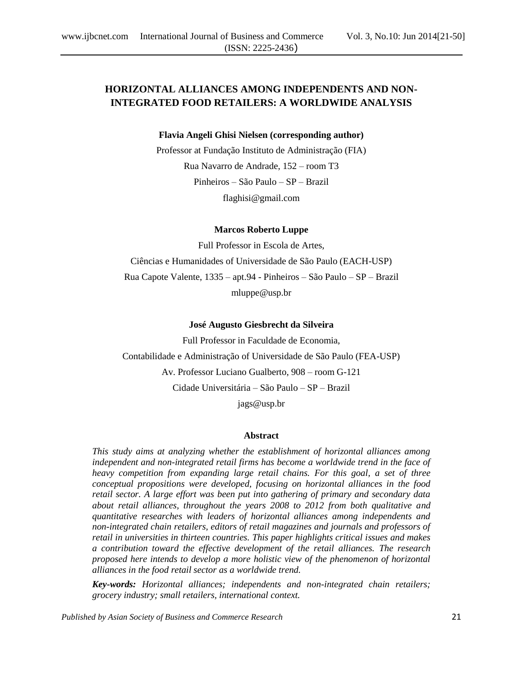# **HORIZONTAL ALLIANCES AMONG INDEPENDENTS AND NON-INTEGRATED FOOD RETAILERS: A WORLDWIDE ANALYSIS**

**Flavia Angeli Ghisi Nielsen (corresponding author)**

Professor at Fundação Instituto de Administração (FIA) Rua Navarro de Andrade, 152 – room T3 Pinheiros – São Paulo – SP – Brazil flaghisi@gmail.com

#### **Marcos Roberto Luppe**

Full Professor in Escola de Artes, Ciências e Humanidades of Universidade de São Paulo (EACH-USP) Rua Capote Valente, 1335 – apt.94 - Pinheiros – São Paulo – SP – Brazil mluppe@usp.br

#### **José Augusto Giesbrecht da Silveira**

Full Professor in Faculdade de Economia, Contabilidade e Administração of Universidade de São Paulo (FEA-USP) Av. Professor Luciano Gualberto, 908 – room G-121 Cidade Universitária – São Paulo – SP – Brazil jags@usp.br

#### **Abstract**

*This study aims at analyzing whether the establishment of horizontal alliances among independent and non-integrated retail firms has become a worldwide trend in the face of heavy competition from expanding large retail chains. For this goal, a set of three conceptual propositions were developed, focusing on horizontal alliances in the food retail sector. A large effort was been put into gathering of primary and secondary data about retail alliances, throughout the years 2008 to 2012 from both qualitative and quantitative researches with leaders of horizontal alliances among independents and non-integrated chain retailers, editors of retail magazines and journals and professors of retail in universities in thirteen countries. This paper highlights critical issues and makes a contribution toward the effective development of the retail alliances. The research proposed here intends to develop a more holistic view of the phenomenon of horizontal alliances in the food retail sector as a worldwide trend.*

*Key-words: Horizontal alliances; independents and non-integrated chain retailers; grocery industry; small retailers, international context.*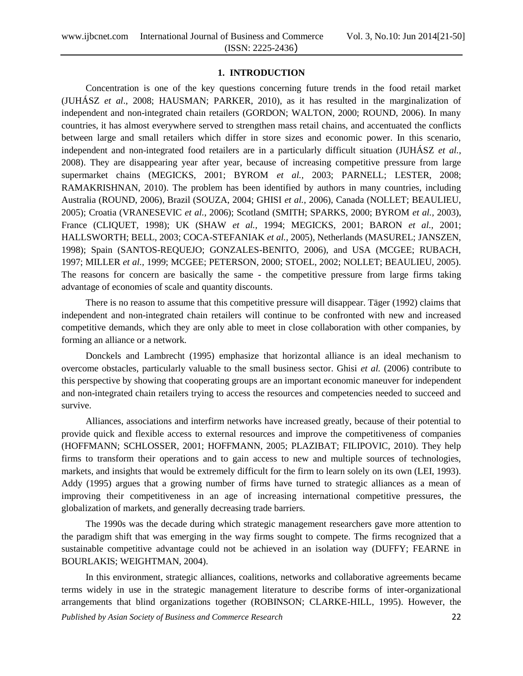# **1. INTRODUCTION**

Concentration is one of the key questions concerning future trends in the food retail market (JUHÁSZ *et al*., 2008; HAUSMAN; PARKER, 2010), as it has resulted in the marginalization of independent and non-integrated chain retailers (GORDON; WALTON, 2000; ROUND, 2006). In many countries, it has almost everywhere served to strengthen mass retail chains, and accentuated the conflicts between large and small retailers which differ in store sizes and economic power. In this scenario, independent and non-integrated food retailers are in a particularly difficult situation (JUHÁSZ *et al.*, 2008). They are disappearing year after year, because of increasing competitive pressure from large supermarket chains (MEGICKS, 2001; BYROM *et al.,* 2003; PARNELL; LESTER, 2008; RAMAKRISHNAN, 2010). The problem has been identified by authors in many countries, including Australia (ROUND, 2006), Brazil (SOUZA, 2004; GHISI *et al.*, 2006), Canada (NOLLET; BEAULIEU, 2005); Croatia (VRANESEVIC *et al.*, 2006); Scotland (SMITH; SPARKS, 2000; BYROM *et al.,* 2003), France (CLIQUET, 1998); UK (SHAW *et al.,* 1994; MEGICKS, 2001; BARON *et al.,* 2001; HALLSWORTH; BELL, 2003; COCA-STEFANIAK *et al.,* 2005), Netherlands (MASUREL; JANSZEN, 1998); Spain (SANTOS-REQUEJO; GONZALES-BENITO, 2006), and USA (MCGEE; RUBACH, 1997; MILLER *et al.,* 1999; MCGEE; PETERSON, 2000; STOEL, 2002; NOLLET; BEAULIEU, 2005). The reasons for concern are basically the same - the competitive pressure from large firms taking advantage of economies of scale and quantity discounts.

There is no reason to assume that this competitive pressure will disappear. Täger (1992) claims that independent and non-integrated chain retailers will continue to be confronted with new and increased competitive demands, which they are only able to meet in close collaboration with other companies, by forming an alliance or a network.

Donckels and Lambrecht (1995) emphasize that horizontal alliance is an ideal mechanism to overcome obstacles, particularly valuable to the small business sector. Ghisi *et al.* (2006) contribute to this perspective by showing that cooperating groups are an important economic maneuver for independent and non-integrated chain retailers trying to access the resources and competencies needed to succeed and survive.

Alliances, associations and interfirm networks have increased greatly, because of their potential to provide quick and flexible access to external resources and improve the competitiveness of companies (HOFFMANN; SCHLOSSER, 2001; HOFFMANN, 2005; PLAZIBAT; FILIPOVIC, 2010). They help firms to transform their operations and to gain access to new and multiple sources of technologies, markets, and insights that would be extremely difficult for the firm to learn solely on its own (LEI, 1993). Addy (1995) argues that a growing number of firms have turned to strategic alliances as a mean of improving their competitiveness in an age of increasing international competitive pressures, the globalization of markets, and generally decreasing trade barriers.

The 1990s was the decade during which strategic management researchers gave more attention to the paradigm shift that was emerging in the way firms sought to compete. The firms recognized that a sustainable competitive advantage could not be achieved in an isolation way (DUFFY; FEARNE in BOURLAKIS; WEIGHTMAN, 2004).

In this environment, strategic alliances, coalitions, networks and collaborative agreements became terms widely in use in the strategic management literature to describe forms of inter-organizational arrangements that blind organizations together (ROBINSON; CLARKE-HILL, 1995). However, the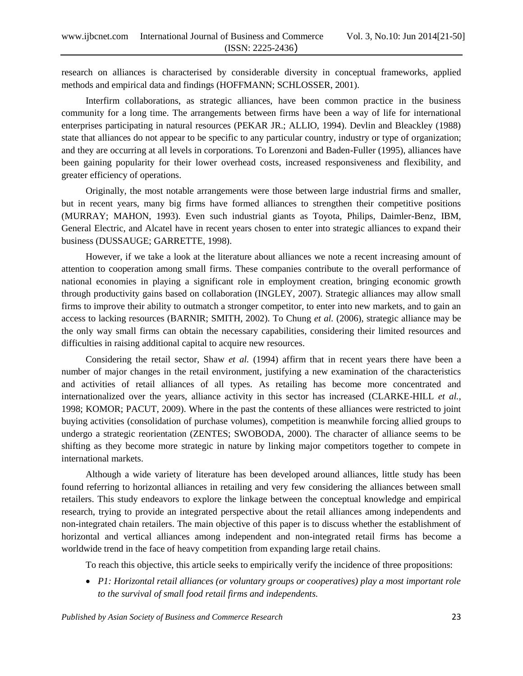research on alliances is characterised by considerable diversity in conceptual frameworks, applied methods and empirical data and findings (HOFFMANN; SCHLOSSER, 2001).

Interfirm collaborations, as strategic alliances, have been common practice in the business community for a long time. The arrangements between firms have been a way of life for international enterprises participating in natural resources (PEKAR JR.; ALLIO, 1994). Devlin and Bleackley (1988) state that alliances do not appear to be specific to any particular country, industry or type of organization; and they are occurring at all levels in corporations. To Lorenzoni and Baden-Fuller (1995), alliances have been gaining popularity for their lower overhead costs, increased responsiveness and flexibility, and greater efficiency of operations.

Originally, the most notable arrangements were those between large industrial firms and smaller, but in recent years, many big firms have formed alliances to strengthen their competitive positions (MURRAY; MAHON, 1993). Even such industrial giants as Toyota, Philips, Daimler-Benz, IBM, General Electric, and Alcatel have in recent years chosen to enter into strategic alliances to expand their business (DUSSAUGE; GARRETTE, 1998).

However, if we take a look at the literature about alliances we note a recent increasing amount of attention to cooperation among small firms. These companies contribute to the overall performance of national economies in playing a significant role in employment creation, bringing economic growth through productivity gains based on collaboration (INGLEY, 2007). Strategic alliances may allow small firms to improve their ability to outmatch a stronger competitor, to enter into new markets, and to gain an access to lacking resources (BARNIR; SMITH, 2002). To Chung *et al.* (2006), strategic alliance may be the only way small firms can obtain the necessary capabilities, considering their limited resources and difficulties in raising additional capital to acquire new resources.

Considering the retail sector, Shaw *et al.* (1994) affirm that in recent years there have been a number of major changes in the retail environment, justifying a new examination of the characteristics and activities of retail alliances of all types. As retailing has become more concentrated and internationalized over the years, alliance activity in this sector has increased (CLARKE-HILL *et al.,* 1998; KOMOR; PACUT, 2009). Where in the past the contents of these alliances were restricted to joint buying activities (consolidation of purchase volumes), competition is meanwhile forcing allied groups to undergo a strategic reorientation (ZENTES; SWOBODA, 2000). The character of alliance seems to be shifting as they become more strategic in nature by linking major competitors together to compete in international markets.

Although a wide variety of literature has been developed around alliances, little study has been found referring to horizontal alliances in retailing and very few considering the alliances between small retailers. This study endeavors to explore the linkage between the conceptual knowledge and empirical research, trying to provide an integrated perspective about the retail alliances among independents and non-integrated chain retailers. The main objective of this paper is to discuss whether the establishment of horizontal and vertical alliances among independent and non-integrated retail firms has become a worldwide trend in the face of heavy competition from expanding large retail chains.

To reach this objective, this article seeks to empirically verify the incidence of three propositions:

 *P1: Horizontal retail alliances (or voluntary groups or cooperatives) play a most important role to the survival of small food retail firms and independents.*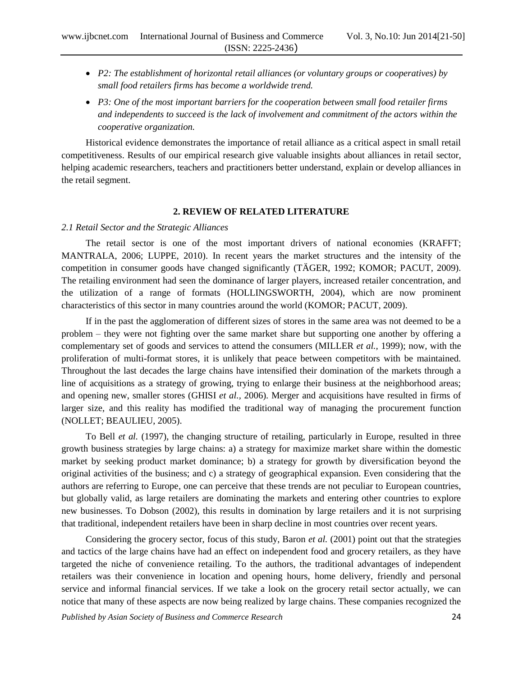- *P2: The establishment of horizontal retail alliances (or voluntary groups or cooperatives) by small food retailers firms has become a worldwide trend.*
- *P3: One of the most important barriers for the cooperation between small food retailer firms and independents to succeed is the lack of involvement and commitment of the actors within the cooperative organization.*

Historical evidence demonstrates the importance of retail alliance as a critical aspect in small retail competitiveness. Results of our empirical research give valuable insights about alliances in retail sector, helping academic researchers, teachers and practitioners better understand, explain or develop alliances in the retail segment.

# **2. REVIEW OF RELATED LITERATURE**

#### *2.1 Retail Sector and the Strategic Alliances*

The retail sector is one of the most important drivers of national economies (KRAFFT; MANTRALA, 2006; LUPPE, 2010). In recent years the market structures and the intensity of the competition in consumer goods have changed significantly (TÄGER, 1992; KOMOR; PACUT, 2009). The retailing environment had seen the dominance of larger players, increased retailer concentration, and the utilization of a range of formats (HOLLINGSWORTH, 2004), which are now prominent characteristics of this sector in many countries around the world (KOMOR; PACUT, 2009).

If in the past the agglomeration of different sizes of stores in the same area was not deemed to be a problem – they were not fighting over the same market share but supporting one another by offering a complementary set of goods and services to attend the consumers (MILLER *et al.,* 1999); now, with the proliferation of multi-format stores, it is unlikely that peace between competitors with be maintained. Throughout the last decades the large chains have intensified their domination of the markets through a line of acquisitions as a strategy of growing, trying to enlarge their business at the neighborhood areas; and opening new, smaller stores (GHISI *et al.,* 2006). Merger and acquisitions have resulted in firms of larger size, and this reality has modified the traditional way of managing the procurement function (NOLLET; BEAULIEU, 2005).

To Bell *et al.* (1997), the changing structure of retailing, particularly in Europe, resulted in three growth business strategies by large chains: a) a strategy for maximize market share within the domestic market by seeking product market dominance; b) a strategy for growth by diversification beyond the original activities of the business; and c) a strategy of geographical expansion. Even considering that the authors are referring to Europe, one can perceive that these trends are not peculiar to European countries, but globally valid, as large retailers are dominating the markets and entering other countries to explore new businesses. To Dobson (2002), this results in domination by large retailers and it is not surprising that traditional, independent retailers have been in sharp decline in most countries over recent years.

Considering the grocery sector, focus of this study, Baron *et al.* (2001) point out that the strategies and tactics of the large chains have had an effect on independent food and grocery retailers, as they have targeted the niche of convenience retailing. To the authors, the traditional advantages of independent retailers was their convenience in location and opening hours, home delivery, friendly and personal service and informal financial services. If we take a look on the grocery retail sector actually, we can notice that many of these aspects are now being realized by large chains. These companies recognized the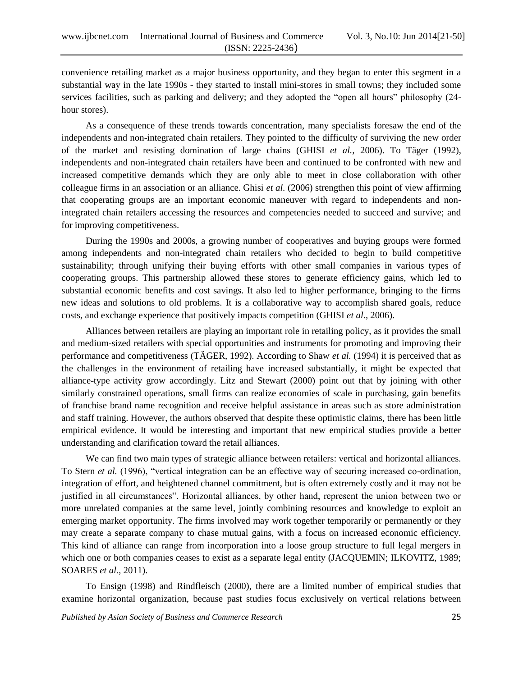convenience retailing market as a major business opportunity, and they began to enter this segment in a substantial way in the late 1990s - they started to install mini-stores in small towns; they included some services facilities, such as parking and delivery; and they adopted the "open all hours" philosophy (24 hour stores).

As a consequence of these trends towards concentration, many specialists foresaw the end of the independents and non-integrated chain retailers. They pointed to the difficulty of surviving the new order of the market and resisting domination of large chains (GHISI *et al.,* 2006). To Täger (1992), independents and non-integrated chain retailers have been and continued to be confronted with new and increased competitive demands which they are only able to meet in close collaboration with other colleague firms in an association or an alliance. Ghisi *et al.* (2006) strengthen this point of view affirming that cooperating groups are an important economic maneuver with regard to independents and nonintegrated chain retailers accessing the resources and competencies needed to succeed and survive; and for improving competitiveness.

During the 1990s and 2000s, a growing number of cooperatives and buying groups were formed among independents and non-integrated chain retailers who decided to begin to build competitive sustainability; through unifying their buying efforts with other small companies in various types of cooperating groups. This partnership allowed these stores to generate efficiency gains, which led to substantial economic benefits and cost savings. It also led to higher performance, bringing to the firms new ideas and solutions to old problems. It is a collaborative way to accomplish shared goals, reduce costs, and exchange experience that positively impacts competition (GHISI *et al.,* 2006).

Alliances between retailers are playing an important role in retailing policy, as it provides the small and medium-sized retailers with special opportunities and instruments for promoting and improving their performance and competitiveness (TÄGER, 1992). According to Shaw *et al.* (1994) it is perceived that as the challenges in the environment of retailing have increased substantially, it might be expected that alliance-type activity grow accordingly. Litz and Stewart (2000) point out that by joining with other similarly constrained operations, small firms can realize economies of scale in purchasing, gain benefits of franchise brand name recognition and receive helpful assistance in areas such as store administration and staff training. However, the authors observed that despite these optimistic claims, there has been little empirical evidence. It would be interesting and important that new empirical studies provide a better understanding and clarification toward the retail alliances.

We can find two main types of strategic alliance between retailers: vertical and horizontal alliances. To Stern *et al.* (1996), "vertical integration can be an effective way of securing increased co-ordination, integration of effort, and heightened channel commitment, but is often extremely costly and it may not be justified in all circumstances". Horizontal alliances, by other hand, represent the union between two or more unrelated companies at the same level, jointly combining resources and knowledge to exploit an emerging market opportunity. The firms involved may work together temporarily or permanently or they may create a separate company to chase mutual gains, with a focus on increased economic efficiency. This kind of alliance can range from incorporation into a loose group structure to full legal mergers in which one or both companies ceases to exist as a separate legal entity (JACQUEMIN; ILKOVITZ, 1989; SOARES *et al.*, 2011).

To Ensign (1998) and Rindfleisch (2000), there are a limited number of empirical studies that examine horizontal organization, because past studies focus exclusively on vertical relations between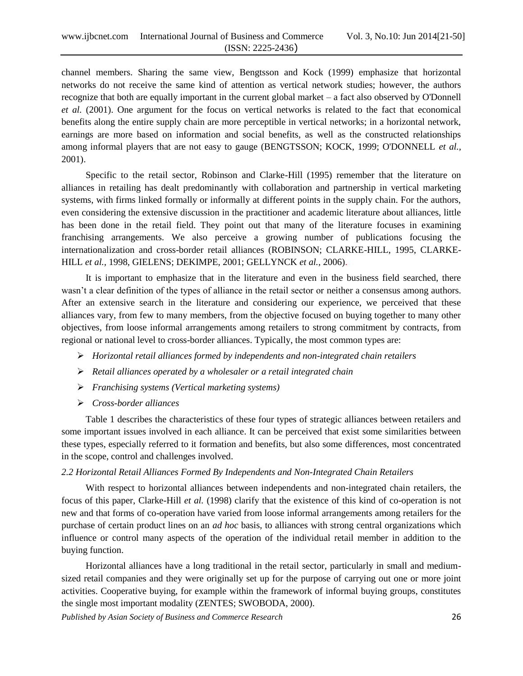channel members. Sharing the same view, Bengtsson and Kock (1999) emphasize that horizontal networks do not receive the same kind of attention as vertical network studies; however, the authors recognize that both are equally important in the current global market – a fact also observed by O'Donnell *et al.* (2001). One argument for the focus on vertical networks is related to the fact that economical benefits along the entire supply chain are more perceptible in vertical networks; in a horizontal network, earnings are more based on information and social benefits, as well as the constructed relationships among informal players that are not easy to gauge (BENGTSSON; KOCK, 1999; O'DONNELL *et al.,* 2001).

Specific to the retail sector, Robinson and Clarke-Hill (1995) remember that the literature on alliances in retailing has dealt predominantly with collaboration and partnership in vertical marketing systems, with firms linked formally or informally at different points in the supply chain. For the authors, even considering the extensive discussion in the practitioner and academic literature about alliances, little has been done in the retail field. They point out that many of the literature focuses in examining franchising arrangements. We also perceive a growing number of publications focusing the internationalization and cross-border retail alliances (ROBINSON; CLARKE-HILL, 1995, CLARKE-HILL *et al.,* 1998, GIELENS; DEKIMPE, 2001; GELLYNCK *et al.,* 2006).

It is important to emphasize that in the literature and even in the business field searched, there wasn't a clear definition of the types of alliance in the retail sector or neither a consensus among authors. After an extensive search in the literature and considering our experience, we perceived that these alliances vary, from few to many members, from the objective focused on buying together to many other objectives, from loose informal arrangements among retailers to strong commitment by contracts, from regional or national level to cross-border alliances. Typically, the most common types are:

- *Horizontal retail alliances formed by independents and non-integrated chain retailers*
- *Retail alliances operated by a wholesaler or a retail integrated chain*
- *Franchising systems (Vertical marketing systems)*
- *Cross-border alliances*

Table 1 describes the characteristics of these four types of strategic alliances between retailers and some important issues involved in each alliance. It can be perceived that exist some similarities between these types, especially referred to it formation and benefits, but also some differences, most concentrated in the scope, control and challenges involved.

#### *2.2 Horizontal Retail Alliances Formed By Independents and Non-Integrated Chain Retailers*

With respect to horizontal alliances between independents and non-integrated chain retailers, the focus of this paper, Clarke-Hill *et al.* (1998) clarify that the existence of this kind of co-operation is not new and that forms of co-operation have varied from loose informal arrangements among retailers for the purchase of certain product lines on an *ad hoc* basis, to alliances with strong central organizations which influence or control many aspects of the operation of the individual retail member in addition to the buying function.

Horizontal alliances have a long traditional in the retail sector, particularly in small and mediumsized retail companies and they were originally set up for the purpose of carrying out one or more joint activities. Cooperative buying, for example within the framework of informal buying groups, constitutes the single most important modality (ZENTES; SWOBODA, 2000).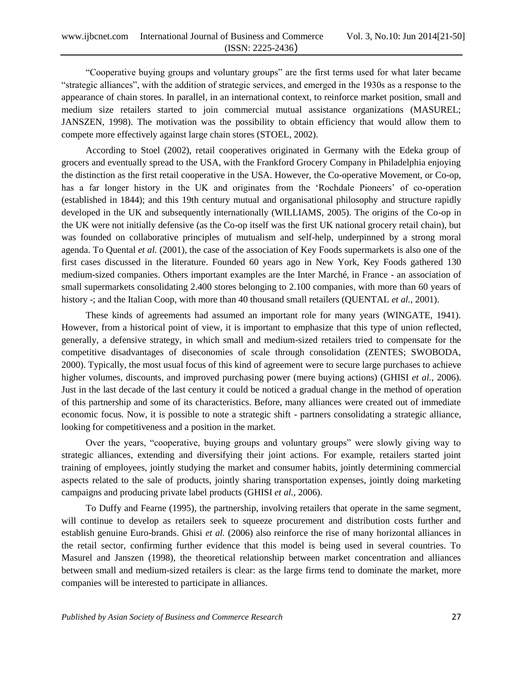"Cooperative buying groups and voluntary groups" are the first terms used for what later became "strategic alliances", with the addition of strategic services, and emerged in the 1930s as a response to the appearance of chain stores. In parallel, in an international context, to reinforce market position, small and medium size retailers started to join commercial mutual assistance organizations (MASUREL; JANSZEN, 1998). The motivation was the possibility to obtain efficiency that would allow them to compete more effectively against large chain stores (STOEL, 2002).

According to Stoel (2002), retail cooperatives originated in Germany with the Edeka group of grocers and eventually spread to the USA, with the Frankford Grocery Company in Philadelphia enjoying the distinction as the first retail cooperative in the USA. However, the Co-operative Movement, or Co-op, has a far longer history in the UK and originates from the 'Rochdale Pioneers' of co-operation (established in 1844); and this 19th century mutual and organisational philosophy and structure rapidly developed in the UK and subsequently internationally (WILLIAMS, 2005). The origins of the Co-op in the UK were not initially defensive (as the Co-op itself was the first UK national grocery retail chain), but was founded on collaborative principles of mutualism and self-help, underpinned by a strong moral agenda. To Quental *et al.* (2001), the case of the association of Key Foods supermarkets is also one of the first cases discussed in the literature. Founded 60 years ago in New York, Key Foods gathered 130 medium-sized companies. Others important examples are the Inter Marché, in France - an association of small supermarkets consolidating 2.400 stores belonging to 2.100 companies, with more than 60 years of history -; and the Italian Coop, with more than 40 thousand small retailers (QUENTAL *et al.,* 2001).

These kinds of agreements had assumed an important role for many years (WINGATE, 1941). However, from a historical point of view, it is important to emphasize that this type of union reflected, generally, a defensive strategy, in which small and medium-sized retailers tried to compensate for the competitive disadvantages of diseconomies of scale through consolidation (ZENTES; SWOBODA, 2000). Typically, the most usual focus of this kind of agreement were to secure large purchases to achieve higher volumes, discounts, and improved purchasing power (mere buying actions) (GHISI *et al.,* 2006). Just in the last decade of the last century it could be noticed a gradual change in the method of operation of this partnership and some of its characteristics. Before, many alliances were created out of immediate economic focus. Now, it is possible to note a strategic shift - partners consolidating a strategic alliance, looking for competitiveness and a position in the market.

Over the years, "cooperative, buying groups and voluntary groups" were slowly giving way to strategic alliances, extending and diversifying their joint actions. For example, retailers started joint training of employees, jointly studying the market and consumer habits, jointly determining commercial aspects related to the sale of products, jointly sharing transportation expenses, jointly doing marketing campaigns and producing private label products (GHISI *et al.,* 2006).

To Duffy and Fearne (1995), the partnership, involving retailers that operate in the same segment, will continue to develop as retailers seek to squeeze procurement and distribution costs further and establish genuine Euro-brands. Ghisi *et al.* (2006) also reinforce the rise of many horizontal alliances in the retail sector, confirming further evidence that this model is being used in several countries. To Masurel and Janszen (1998), the theoretical relationship between market concentration and alliances between small and medium-sized retailers is clear: as the large firms tend to dominate the market, more companies will be interested to participate in alliances.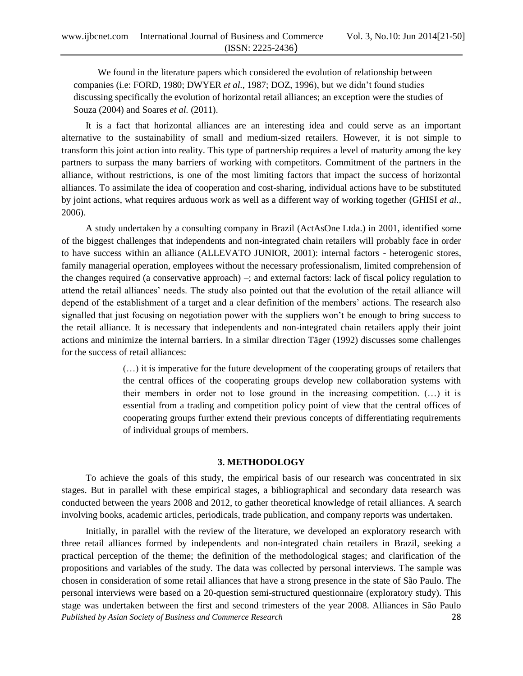We found in the literature papers which considered the evolution of relationship between companies (i.e: FORD, 1980; DWYER *et al.*, 1987; DOZ, 1996), but we didn"t found studies discussing specifically the evolution of horizontal retail alliances; an exception were the studies of Souza (2004) and Soares *et al.* (2011).

It is a fact that horizontal alliances are an interesting idea and could serve as an important alternative to the sustainability of small and medium-sized retailers. However, it is not simple to transform this joint action into reality. This type of partnership requires a level of maturity among the key partners to surpass the many barriers of working with competitors. Commitment of the partners in the alliance, without restrictions, is one of the most limiting factors that impact the success of horizontal alliances. To assimilate the idea of cooperation and cost-sharing, individual actions have to be substituted by joint actions, what requires arduous work as well as a different way of working together (GHISI *et al.,* 2006).

A study undertaken by a consulting company in Brazil (ActAsOne Ltda.) in 2001, identified some of the biggest challenges that independents and non-integrated chain retailers will probably face in order to have success within an alliance (ALLEVATO JUNIOR, 2001): internal factors - heterogenic stores, family managerial operation, employees without the necessary professionalism, limited comprehension of the changes required (a conservative approach) –; and external factors: lack of fiscal policy regulation to attend the retail alliances" needs. The study also pointed out that the evolution of the retail alliance will depend of the establishment of a target and a clear definition of the members" actions. The research also signalled that just focusing on negotiation power with the suppliers won"t be enough to bring success to the retail alliance. It is necessary that independents and non-integrated chain retailers apply their joint actions and minimize the internal barriers. In a similar direction Täger (1992) discusses some challenges for the success of retail alliances:

> (…) it is imperative for the future development of the cooperating groups of retailers that the central offices of the cooperating groups develop new collaboration systems with their members in order not to lose ground in the increasing competition. (…) it is essential from a trading and competition policy point of view that the central offices of cooperating groups further extend their previous concepts of differentiating requirements of individual groups of members.

# **3. METHODOLOGY**

To achieve the goals of this study, the empirical basis of our research was concentrated in six stages. But in parallel with these empirical stages, a bibliographical and secondary data research was conducted between the years 2008 and 2012, to gather theoretical knowledge of retail alliances. A search involving books, academic articles, periodicals, trade publication, and company reports was undertaken.

*Published by Asian Society of Business and Commerce Research* 28 Initially, in parallel with the review of the literature, we developed an exploratory research with three retail alliances formed by independents and non-integrated chain retailers in Brazil, seeking a practical perception of the theme; the definition of the methodological stages; and clarification of the propositions and variables of the study. The data was collected by personal interviews. The sample was chosen in consideration of some retail alliances that have a strong presence in the state of São Paulo. The personal interviews were based on a 20-question semi-structured questionnaire (exploratory study). This stage was undertaken between the first and second trimesters of the year 2008. Alliances in São Paulo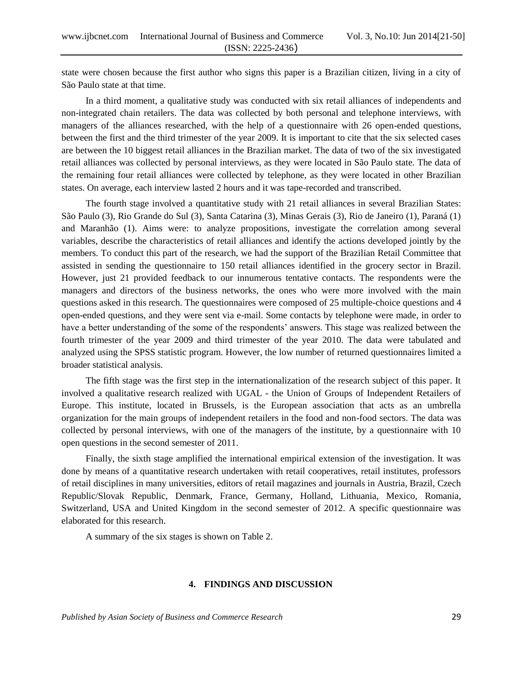state were chosen because the first author who signs this paper is a Brazilian citizen, living in a city of São Paulo state at that time.

In a third moment, a qualitative study was conducted with six retail alliances of independents and non-integrated chain retailers. The data was collected by both personal and telephone interviews, with managers of the alliances researched, with the help of a questionnaire with 26 open-ended questions, between the first and the third trimester of the year 2009. It is important to cite that the six selected cases are between the 10 biggest retail alliances in the Brazilian market. The data of two of the six investigated retail alliances was collected by personal interviews, as they were located in São Paulo state. The data of the remaining four retail alliances were collected by telephone, as they were located in other Brazilian states. On average, each interview lasted 2 hours and it was tape-recorded and transcribed.

The fourth stage involved a quantitative study with 21 retail alliances in several Brazilian States: São Paulo (3), Rio Grande do Sul (3), Santa Catarina (3), Minas Gerais (3), Rio de Janeiro (1), Paraná (1) and Maranhão (1). Aims were: to analyze propositions, investigate the correlation among several variables, describe the characteristics of retail alliances and identify the actions developed jointly by the members. To conduct this part of the research, we had the support of the Brazilian Retail Committee that assisted in sending the questionnaire to 150 retail alliances identified in the grocery sector in Brazil. However, just 21 provided feedback to our innumerous tentative contacts. The respondents were the managers and directors of the business networks, the ones who were more involved with the main questions asked in this research. The questionnaires were composed of 25 multiple-choice questions and 4 open-ended questions, and they were sent via e-mail. Some contacts by telephone were made, in order to have a better understanding of the some of the respondents' answers. This stage was realized between the fourth trimester of the year 2009 and third trimester of the year 2010. The data were tabulated and analyzed using the SPSS statistic program. However, the low number of returned questionnaires limited a broader statistical analysis.

The fifth stage was the first step in the internationalization of the research subject of this paper. It involved a qualitative research realized with UGAL - the Union of Groups of Independent Retailers of Europe. This institute, located in Brussels, is the European association that acts as an umbrella organization for the main groups of independent retailers in the food and non-food sectors. The data was collected by personal interviews, with one of the managers of the institute, by a questionnaire with 10 open questions in the second semester of 2011.

Finally, the sixth stage amplified the international empirical extension of the investigation. It was done by means of a quantitative research undertaken with retail cooperatives, retail institutes, professors of retail disciplines in many universities, editors of retail magazines and journals in Austria, Brazil, Czech Republic/Slovak Republic, Denmark, France, Germany, Holland, Lithuania, Mexico, Romania, Switzerland, USA and United Kingdom in the second semester of 2012. A specific questionnaire was elaborated for this research.

A summary of the six stages is shown on Table 2.

# **4. FINDINGS AND DISCUSSION**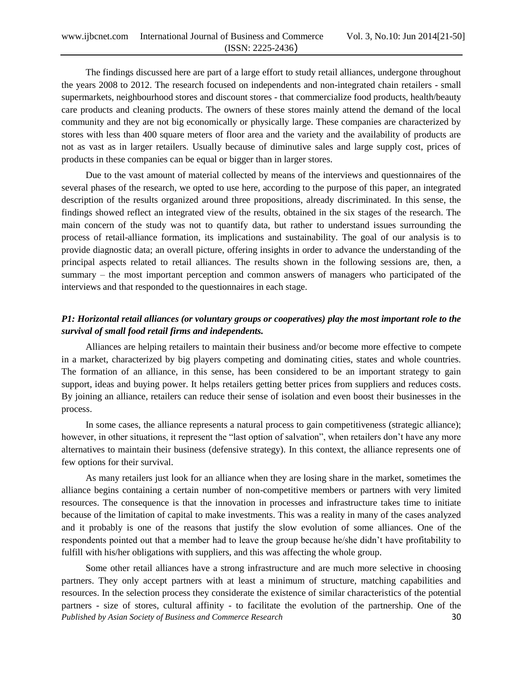The findings discussed here are part of a large effort to study retail alliances, undergone throughout the years 2008 to 2012. The research focused on independents and non-integrated chain retailers - small supermarkets, neighbourhood stores and discount stores - that commercialize food products, health/beauty care products and cleaning products. The owners of these stores mainly attend the demand of the local community and they are not big economically or physically large. These companies are characterized by stores with less than 400 square meters of floor area and the variety and the availability of products are not as vast as in larger retailers. Usually because of diminutive sales and large supply cost, prices of products in these companies can be equal or bigger than in larger stores.

Due to the vast amount of material collected by means of the interviews and questionnaires of the several phases of the research, we opted to use here, according to the purpose of this paper, an integrated description of the results organized around three propositions, already discriminated. In this sense, the findings showed reflect an integrated view of the results, obtained in the six stages of the research. The main concern of the study was not to quantify data, but rather to understand issues surrounding the process of retail-alliance formation, its implications and sustainability. The goal of our analysis is to provide diagnostic data; an overall picture, offering insights in order to advance the understanding of the principal aspects related to retail alliances. The results shown in the following sessions are, then, a summary – the most important perception and common answers of managers who participated of the interviews and that responded to the questionnaires in each stage.

# *P1: Horizontal retail alliances (or voluntary groups or cooperatives) play the most important role to the survival of small food retail firms and independents.*

Alliances are helping retailers to maintain their business and/or become more effective to compete in a market, characterized by big players competing and dominating cities, states and whole countries. The formation of an alliance, in this sense, has been considered to be an important strategy to gain support, ideas and buying power. It helps retailers getting better prices from suppliers and reduces costs. By joining an alliance, retailers can reduce their sense of isolation and even boost their businesses in the process.

In some cases, the alliance represents a natural process to gain competitiveness (strategic alliance); however, in other situations, it represent the "last option of salvation", when retailers don't have any more alternatives to maintain their business (defensive strategy). In this context, the alliance represents one of few options for their survival.

As many retailers just look for an alliance when they are losing share in the market, sometimes the alliance begins containing a certain number of non-competitive members or partners with very limited resources. The consequence is that the innovation in processes and infrastructure takes time to initiate because of the limitation of capital to make investments. This was a reality in many of the cases analyzed and it probably is one of the reasons that justify the slow evolution of some alliances. One of the respondents pointed out that a member had to leave the group because he/she didn"t have profitability to fulfill with his/her obligations with suppliers, and this was affecting the whole group.

*Published by Asian Society of Business and Commerce Research* 30 Some other retail alliances have a strong infrastructure and are much more selective in choosing partners. They only accept partners with at least a minimum of structure, matching capabilities and resources. In the selection process they considerate the existence of similar characteristics of the potential partners - size of stores, cultural affinity - to facilitate the evolution of the partnership. One of the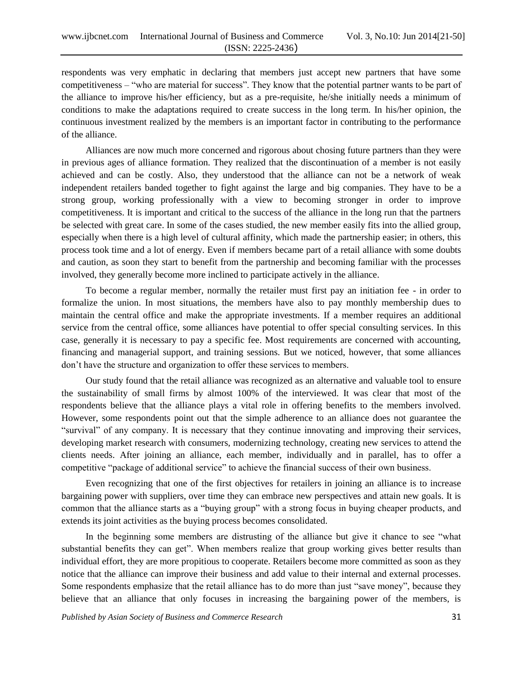respondents was very emphatic in declaring that members just accept new partners that have some competitiveness – "who are material for success". They know that the potential partner wants to be part of the alliance to improve his/her efficiency, but as a pre-requisite, he/she initially needs a minimum of conditions to make the adaptations required to create success in the long term. In his/her opinion, the continuous investment realized by the members is an important factor in contributing to the performance of the alliance.

Alliances are now much more concerned and rigorous about chosing future partners than they were in previous ages of alliance formation. They realized that the discontinuation of a member is not easily achieved and can be costly. Also, they understood that the alliance can not be a network of weak independent retailers banded together to fight against the large and big companies. They have to be a strong group, working professionally with a view to becoming stronger in order to improve competitiveness. It is important and critical to the success of the alliance in the long run that the partners be selected with great care. In some of the cases studied, the new member easily fits into the allied group, especially when there is a high level of cultural affinity, which made the partnership easier; in others, this process took time and a lot of energy. Even if members became part of a retail alliance with some doubts and caution, as soon they start to benefit from the partnership and becoming familiar with the processes involved, they generally become more inclined to participate actively in the alliance.

To become a regular member, normally the retailer must first pay an initiation fee - in order to formalize the union. In most situations, the members have also to pay monthly membership dues to maintain the central office and make the appropriate investments. If a member requires an additional service from the central office, some alliances have potential to offer special consulting services. In this case, generally it is necessary to pay a specific fee. Most requirements are concerned with accounting, financing and managerial support, and training sessions. But we noticed, however, that some alliances don"t have the structure and organization to offer these services to members.

Our study found that the retail alliance was recognized as an alternative and valuable tool to ensure the sustainability of small firms by almost 100% of the interviewed. It was clear that most of the respondents believe that the alliance plays a vital role in offering benefits to the members involved. However, some respondents point out that the simple adherence to an alliance does not guarantee the "survival" of any company. It is necessary that they continue innovating and improving their services, developing market research with consumers, modernizing technology, creating new services to attend the clients needs. After joining an alliance, each member, individually and in parallel, has to offer a competitive "package of additional service" to achieve the financial success of their own business.

Even recognizing that one of the first objectives for retailers in joining an alliance is to increase bargaining power with suppliers, over time they can embrace new perspectives and attain new goals. It is common that the alliance starts as a "buying group" with a strong focus in buying cheaper products, and extends its joint activities as the buying process becomes consolidated.

In the beginning some members are distrusting of the alliance but give it chance to see "what substantial benefits they can get". When members realize that group working gives better results than individual effort, they are more propitious to cooperate. Retailers become more committed as soon as they notice that the alliance can improve their business and add value to their internal and external processes. Some respondents emphasize that the retail alliance has to do more than just "save money", because they believe that an alliance that only focuses in increasing the bargaining power of the members, is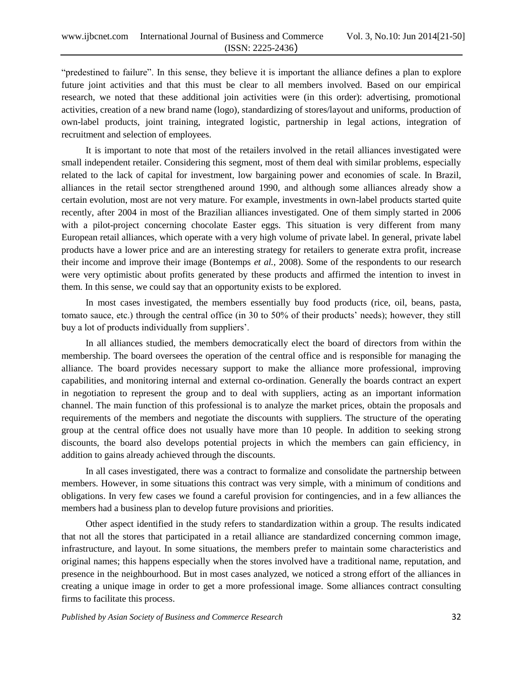"predestined to failure". In this sense, they believe it is important the alliance defines a plan to explore future joint activities and that this must be clear to all members involved. Based on our empirical research, we noted that these additional join activities were (in this order): advertising, promotional activities, creation of a new brand name (logo), standardizing of stores/layout and uniforms, production of own-label products, joint training, integrated logistic, partnership in legal actions, integration of recruitment and selection of employees.

It is important to note that most of the retailers involved in the retail alliances investigated were small independent retailer. Considering this segment, most of them deal with similar problems, especially related to the lack of capital for investment, low bargaining power and economies of scale. In Brazil, alliances in the retail sector strengthened around 1990, and although some alliances already show a certain evolution, most are not very mature. For example, investments in own-label products started quite recently, after 2004 in most of the Brazilian alliances investigated. One of them simply started in 2006 with a pilot-project concerning chocolate Easter eggs. This situation is very different from many European retail alliances, which operate with a very high volume of private label. In general, private label products have a lower price and are an interesting strategy for retailers to generate extra profit, increase their income and improve their image (Bontemps *et al.,* 2008). Some of the respondents to our research were very optimistic about profits generated by these products and affirmed the intention to invest in them. In this sense, we could say that an opportunity exists to be explored.

In most cases investigated, the members essentially buy food products (rice, oil, beans, pasta, tomato sauce, etc.) through the central office (in 30 to 50% of their products" needs); however, they still buy a lot of products individually from suppliers'.

In all alliances studied, the members democratically elect the board of directors from within the membership. The board oversees the operation of the central office and is responsible for managing the alliance. The board provides necessary support to make the alliance more professional, improving capabilities, and monitoring internal and external co-ordination. Generally the boards contract an expert in negotiation to represent the group and to deal with suppliers, acting as an important information channel. The main function of this professional is to analyze the market prices, obtain the proposals and requirements of the members and negotiate the discounts with suppliers. The structure of the operating group at the central office does not usually have more than 10 people. In addition to seeking strong discounts, the board also develops potential projects in which the members can gain efficiency, in addition to gains already achieved through the discounts.

In all cases investigated, there was a contract to formalize and consolidate the partnership between members. However, in some situations this contract was very simple, with a minimum of conditions and obligations. In very few cases we found a careful provision for contingencies, and in a few alliances the members had a business plan to develop future provisions and priorities.

Other aspect identified in the study refers to standardization within a group. The results indicated that not all the stores that participated in a retail alliance are standardized concerning common image, infrastructure, and layout. In some situations, the members prefer to maintain some characteristics and original names; this happens especially when the stores involved have a traditional name, reputation, and presence in the neighbourhood. But in most cases analyzed, we noticed a strong effort of the alliances in creating a unique image in order to get a more professional image. Some alliances contract consulting firms to facilitate this process.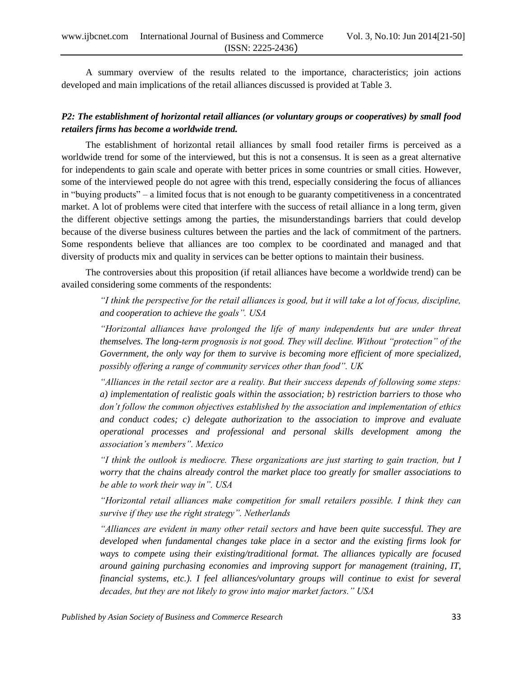A summary overview of the results related to the importance, characteristics; join actions developed and main implications of the retail alliances discussed is provided at Table 3.

# *P2: The establishment of horizontal retail alliances (or voluntary groups or cooperatives) by small food retailers firms has become a worldwide trend.*

The establishment of horizontal retail alliances by small food retailer firms is perceived as a worldwide trend for some of the interviewed, but this is not a consensus. It is seen as a great alternative for independents to gain scale and operate with better prices in some countries or small cities. However, some of the interviewed people do not agree with this trend, especially considering the focus of alliances in "buying products" – a limited focus that is not enough to be guaranty competitiveness in a concentrated market. A lot of problems were cited that interfere with the success of retail alliance in a long term, given the different objective settings among the parties, the misunderstandings barriers that could develop because of the diverse business cultures between the parties and the lack of commitment of the partners. Some respondents believe that alliances are too complex to be coordinated and managed and that diversity of products mix and quality in services can be better options to maintain their business.

The controversies about this proposition (if retail alliances have become a worldwide trend) can be availed considering some comments of the respondents:

*"I think the perspective for the retail alliances is good, but it will take a lot of focus, discipline, and cooperation to achieve the goals". USA*

*"Horizontal alliances have prolonged the life of many independents but are under threat themselves. The long-term prognosis is not good. They will decline. Without "protection" of the Government, the only way for them to survive is becoming more efficient of more specialized, possibly offering a range of community services other than food". UK*

*"Alliances in the retail sector are a reality. But their success depends of following some steps: a) implementation of realistic goals within the association; b) restriction barriers to those who don't follow the common objectives established by the association and implementation of ethics and conduct codes; c) delegate authorization to the association to improve and evaluate operational processes and professional and personal skills development among the association's members". Mexico*

*"I think the outlook is mediocre. These organizations are just starting to gain traction, but I worry that the chains already control the market place too greatly for smaller associations to be able to work their way in". USA*

*"Horizontal retail alliances make competition for small retailers possible. I think they can survive if they use the right strategy". Netherlands*

*"Alliances are evident in many other retail sectors and have been quite successful. They are developed when fundamental changes take place in a sector and the existing firms look for ways to compete using their existing/traditional format. The alliances typically are focused around gaining purchasing economies and improving support for management (training, IT, financial systems, etc.). I feel alliances/voluntary groups will continue to exist for several decades, but they are not likely to grow into major market factors." USA*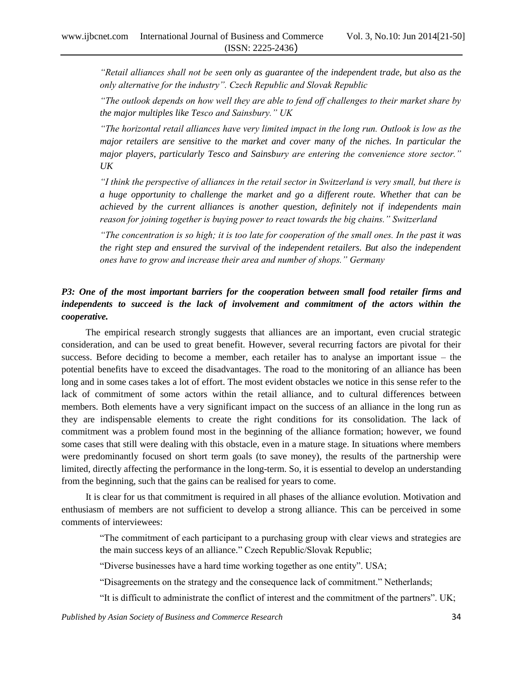*"Retail alliances shall not be seen only as guarantee of the independent trade, but also as the only alternative for the industry". Czech Republic and Slovak Republic*

*"The outlook depends on how well they are able to fend off challenges to their market share by the major multiples like Tesco and Sainsbury." UK*

*"The horizontal retail alliances have very limited impact in the long run. Outlook is low as the major retailers are sensitive to the market and cover many of the niches. In particular the major players, particularly Tesco and Sainsbury are entering the convenience store sector." UK*

*"I think the perspective of alliances in the retail sector in Switzerland is very small, but there is a huge opportunity to challenge the market and go a different route. Whether that can be achieved by the current alliances is another question, definitely not if independents main reason for joining together is buying power to react towards the big chains." Switzerland*

*"The concentration is so high; it is too late for cooperation of the small ones. In the past it was the right step and ensured the survival of the independent retailers. But also the independent ones have to grow and increase their area and number of shops." Germany*

# *P3: One of the most important barriers for the cooperation between small food retailer firms and*  independents to succeed is the lack of involvement and commitment of the actors within the *cooperative.*

The empirical research strongly suggests that alliances are an important, even crucial strategic consideration, and can be used to great benefit. However, several recurring factors are pivotal for their success. Before deciding to become a member, each retailer has to analyse an important issue – the potential benefits have to exceed the disadvantages. The road to the monitoring of an alliance has been long and in some cases takes a lot of effort. The most evident obstacles we notice in this sense refer to the lack of commitment of some actors within the retail alliance, and to cultural differences between members. Both elements have a very significant impact on the success of an alliance in the long run as they are indispensable elements to create the right conditions for its consolidation. The lack of commitment was a problem found most in the beginning of the alliance formation; however, we found some cases that still were dealing with this obstacle, even in a mature stage. In situations where members were predominantly focused on short term goals (to save money), the results of the partnership were limited, directly affecting the performance in the long-term. So, it is essential to develop an understanding from the beginning, such that the gains can be realised for years to come.

It is clear for us that commitment is required in all phases of the alliance evolution. Motivation and enthusiasm of members are not sufficient to develop a strong alliance. This can be perceived in some comments of interviewees:

"The commitment of each participant to a purchasing group with clear views and strategies are the main success keys of an alliance." Czech Republic/Slovak Republic;

"Diverse businesses have a hard time working together as one entity". USA;

"Disagreements on the strategy and the consequence lack of commitment." Netherlands;

"It is difficult to administrate the conflict of interest and the commitment of the partners". UK;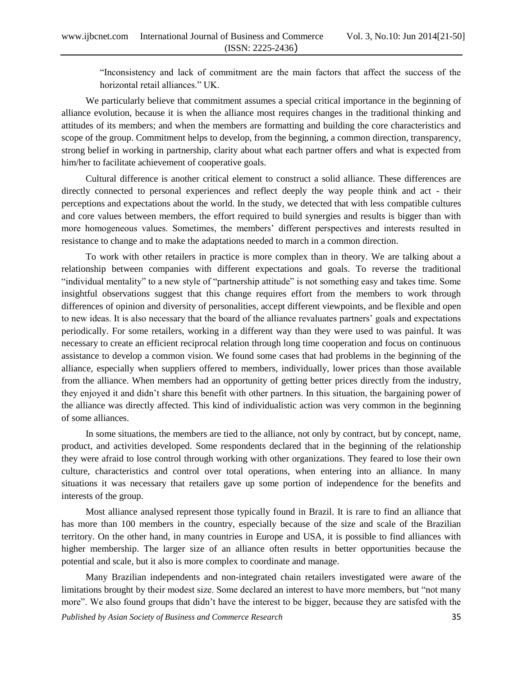"Inconsistency and lack of commitment are the main factors that affect the success of the horizontal retail alliances." UK.

We particularly believe that commitment assumes a special critical importance in the beginning of alliance evolution, because it is when the alliance most requires changes in the traditional thinking and attitudes of its members; and when the members are formatting and building the core characteristics and scope of the group. Commitment helps to develop, from the beginning, a common direction, transparency, strong belief in working in partnership, clarity about what each partner offers and what is expected from him/her to facilitate achievement of cooperative goals.

Cultural difference is another critical element to construct a solid alliance. These differences are directly connected to personal experiences and reflect deeply the way people think and act - their perceptions and expectations about the world. In the study, we detected that with less compatible cultures and core values between members, the effort required to build synergies and results is bigger than with more homogeneous values. Sometimes, the members" different perspectives and interests resulted in resistance to change and to make the adaptations needed to march in a common direction.

To work with other retailers in practice is more complex than in theory. We are talking about a relationship between companies with different expectations and goals. To reverse the traditional "individual mentality" to a new style of "partnership attitude" is not something easy and takes time. Some insightful observations suggest that this change requires effort from the members to work through differences of opinion and diversity of personalities, accept different viewpoints, and be flexible and open to new ideas. It is also necessary that the board of the alliance revaluates partners" goals and expectations periodically. For some retailers, working in a different way than they were used to was painful. It was necessary to create an efficient reciprocal relation through long time cooperation and focus on continuous assistance to develop a common vision. We found some cases that had problems in the beginning of the alliance, especially when suppliers offered to members, individually, lower prices than those available from the alliance. When members had an opportunity of getting better prices directly from the industry, they enjoyed it and didn"t share this benefit with other partners. In this situation, the bargaining power of the alliance was directly affected. This kind of individualistic action was very common in the beginning of some alliances.

In some situations, the members are tied to the alliance, not only by contract, but by concept, name, product, and activities developed. Some respondents declared that in the beginning of the relationship they were afraid to lose control through working with other organizations. They feared to lose their own culture, characteristics and control over total operations, when entering into an alliance. In many situations it was necessary that retailers gave up some portion of independence for the benefits and interests of the group.

Most alliance analysed represent those typically found in Brazil. It is rare to find an alliance that has more than 100 members in the country, especially because of the size and scale of the Brazilian territory. On the other hand, in many countries in Europe and USA, it is possible to find alliances with higher membership. The larger size of an alliance often results in better opportunities because the potential and scale, but it also is more complex to coordinate and manage.

Many Brazilian independents and non-integrated chain retailers investigated were aware of the limitations brought by their modest size. Some declared an interest to have more members, but "not many more". We also found groups that didn"t have the interest to be bigger, because they are satisfed with the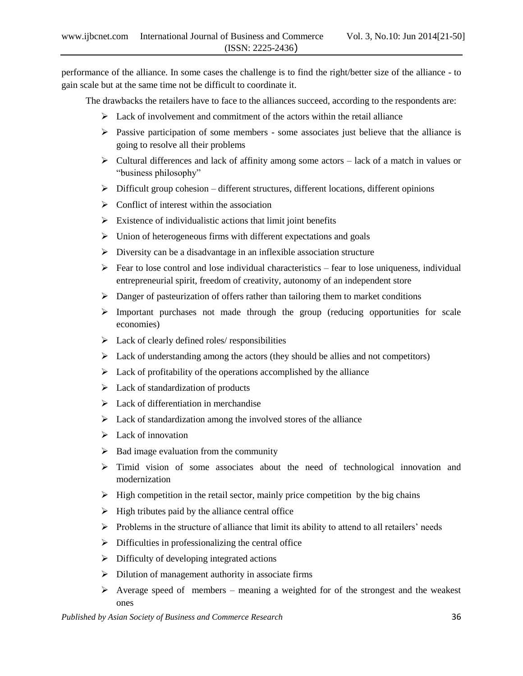performance of the alliance. In some cases the challenge is to find the right/better size of the alliance - to gain scale but at the same time not be difficult to coordinate it.

The drawbacks the retailers have to face to the alliances succeed, according to the respondents are:

- $\triangleright$  Lack of involvement and commitment of the actors within the retail alliance
- $\triangleright$  Passive participation of some members some associates just believe that the alliance is going to resolve all their problems
- $\triangleright$  Cultural differences and lack of affinity among some actors lack of a match in values or "business philosophy"
- $\triangleright$  Difficult group cohesion different structures, different locations, different opinions
- $\triangleright$  Conflict of interest within the association
- $\triangleright$  Existence of individualistic actions that limit joint benefits
- $\triangleright$  Union of heterogeneous firms with different expectations and goals
- $\triangleright$  Diversity can be a disadvantage in an inflexible association structure
- $\triangleright$  Fear to lose control and lose individual characteristics fear to lose uniqueness, individual entrepreneurial spirit, freedom of creativity, autonomy of an independent store
- $\triangleright$  Danger of pasteurization of offers rather than tailoring them to market conditions
- $\triangleright$  Important purchases not made through the group (reducing opportunities for scale economies)
- $\blacktriangleright$  Lack of clearly defined roles/ responsibilities
- $\triangleright$  Lack of understanding among the actors (they should be allies and not competitors)
- $\triangleright$  Lack of profitability of the operations accomplished by the alliance
- $\triangleright$  Lack of standardization of products
- $\triangleright$  Lack of differentiation in merchandise
- $\triangleright$  Lack of standardization among the involved stores of the alliance
- $\blacktriangleright$  Lack of innovation
- $\triangleright$  Bad image evaluation from the community
- $\geq$  Timid vision of some associates about the need of technological innovation and modernization
- $\triangleright$  High competition in the retail sector, mainly price competition by the big chains
- $\triangleright$  High tributes paid by the alliance central office
- $\triangleright$  Problems in the structure of alliance that limit its ability to attend to all retailers' needs
- $\triangleright$  Difficulties in professionalizing the central office
- $\triangleright$  Difficulty of developing integrated actions
- $\triangleright$  Dilution of management authority in associate firms
- $\triangleright$  Average speed of members meaning a weighted for of the strongest and the weakest ones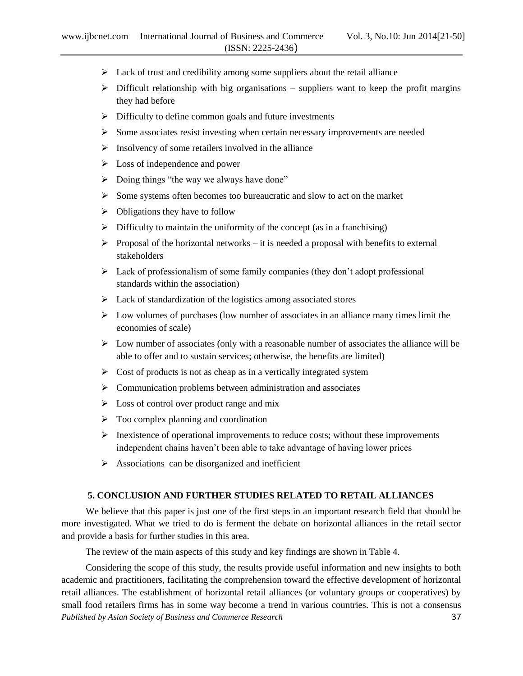- $\triangleright$  Lack of trust and credibility among some suppliers about the retail alliance
- $\triangleright$  Difficult relationship with big organisations suppliers want to keep the profit margins they had before
- $\triangleright$  Difficulty to define common goals and future investments
- $\triangleright$  Some associates resist investing when certain necessary improvements are needed
- $\triangleright$  Insolvency of some retailers involved in the alliance
- $\triangleright$  Loss of independence and power
- $\triangleright$  Doing things "the way we always have done"
- $\triangleright$  Some systems often becomes too bureaucratic and slow to act on the market
- $\triangleright$  Obligations they have to follow
- $\triangleright$  Difficulty to maintain the uniformity of the concept (as in a franchising)
- $\triangleright$  Proposal of the horizontal networks it is needed a proposal with benefits to external stakeholders
- $\triangleright$  Lack of professionalism of some family companies (they don't adopt professional standards within the association)
- $\triangleright$  Lack of standardization of the logistics among associated stores
- $\triangleright$  Low volumes of purchases (low number of associates in an alliance many times limit the economies of scale)
- $\triangleright$  Low number of associates (only with a reasonable number of associates the alliance will be able to offer and to sustain services; otherwise, the benefits are limited)
- $\triangleright$  Cost of products is not as cheap as in a vertically integrated system
- $\triangleright$  Communication problems between administration and associates
- $\triangleright$  Loss of control over product range and mix
- $\triangleright$  Too complex planning and coordination
- $\triangleright$  Inexistence of operational improvements to reduce costs; without these improvements independent chains haven"t been able to take advantage of having lower prices
- $\triangleright$  Associations can be disorganized and inefficient

# **5. CONCLUSION AND FURTHER STUDIES RELATED TO RETAIL ALLIANCES**

We believe that this paper is just one of the first steps in an important research field that should be more investigated. What we tried to do is ferment the debate on horizontal alliances in the retail sector and provide a basis for further studies in this area.

The review of the main aspects of this study and key findings are shown in Table 4.

*Published by Asian Society of Business and Commerce Research* 37 Considering the scope of this study, the results provide useful information and new insights to both academic and practitioners, facilitating the comprehension toward the effective development of horizontal retail alliances. The establishment of horizontal retail alliances (or voluntary groups or cooperatives) by small food retailers firms has in some way become a trend in various countries. This is not a consensus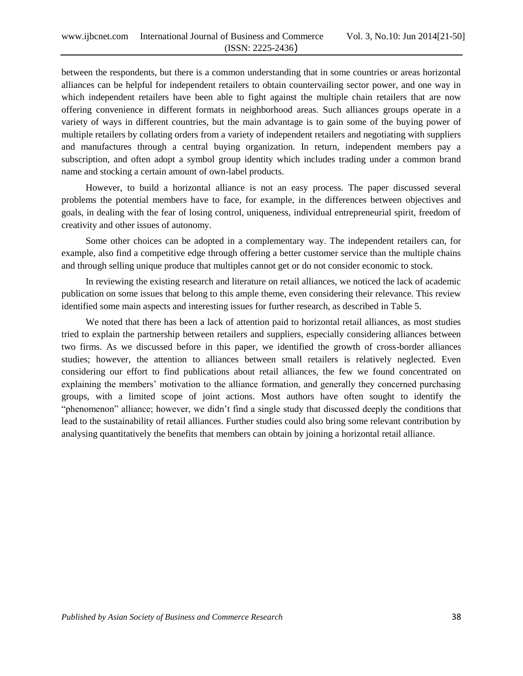between the respondents, but there is a common understanding that in some countries or areas horizontal alliances can be helpful for independent retailers to obtain countervailing sector power, and one way in which independent retailers have been able to fight against the multiple chain retailers that are now offering convenience in different formats in neighborhood areas. Such alliances groups operate in a variety of ways in different countries, but the main advantage is to gain some of the buying power of multiple retailers by collating orders from a variety of independent retailers and negotiating with suppliers and manufactures through a central buying organization. In return, independent members pay a subscription, and often adopt a symbol group identity which includes trading under a common brand name and stocking a certain amount of own-label products.

However, to build a horizontal alliance is not an easy process. The paper discussed several problems the potential members have to face, for example, in the differences between objectives and goals, in dealing with the fear of losing control, uniqueness, individual entrepreneurial spirit, freedom of creativity and other issues of autonomy.

Some other choices can be adopted in a complementary way. The independent retailers can, for example, also find a competitive edge through offering a better customer service than the multiple chains and through selling unique produce that multiples cannot get or do not consider economic to stock.

In reviewing the existing research and literature on retail alliances, we noticed the lack of academic publication on some issues that belong to this ample theme, even considering their relevance. This review identified some main aspects and interesting issues for further research, as described in Table 5.

We noted that there has been a lack of attention paid to horizontal retail alliances, as most studies tried to explain the partnership between retailers and suppliers, especially considering alliances between two firms. As we discussed before in this paper, we identified the growth of cross-border alliances studies; however, the attention to alliances between small retailers is relatively neglected. Even considering our effort to find publications about retail alliances, the few we found concentrated on explaining the members" motivation to the alliance formation, and generally they concerned purchasing groups, with a limited scope of joint actions. Most authors have often sought to identify the "phenomenon" alliance; however, we didn"t find a single study that discussed deeply the conditions that lead to the sustainability of retail alliances. Further studies could also bring some relevant contribution by analysing quantitatively the benefits that members can obtain by joining a horizontal retail alliance.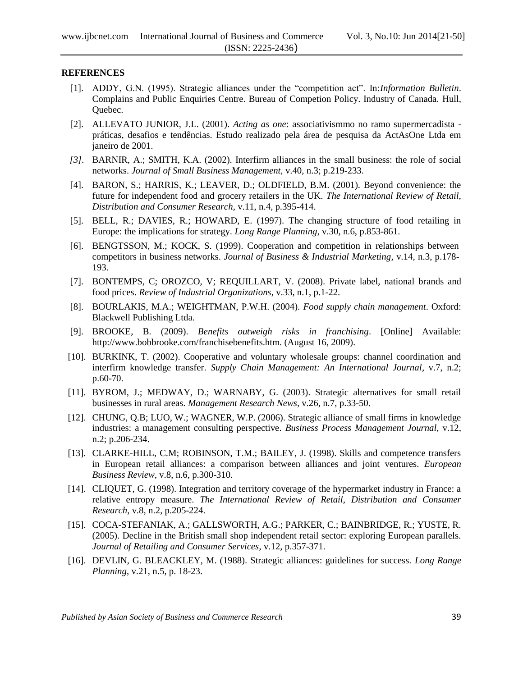# **REFERENCES**

- [1]. ADDY, G.N. (1995). Strategic alliances under the "competition act". In:*Information Bulletin*. Complains and Public Enquiries Centre. Bureau of Competion Policy. Industry of Canada. Hull, Quebec.
- [2]. ALLEVATO JUNIOR, J.L. (2001). *Acting as one*: associativismmo no ramo supermercadista práticas, desafios e tendências. Estudo realizado pela área de pesquisa da ActAsOne Ltda em janeiro de 2001.
- *[3].* BARNIR, A.; SMITH, K.A. (2002). Interfirm alliances in the small business: the role of social networks. *Journal of Small Business Management,* v.40, n.3; p.219-233.
- [4]. BARON, S.; HARRIS, K.; LEAVER, D.; OLDFIELD, B.M. (2001). Beyond convenience: the future for independent food and grocery retailers in the UK. *The International Review of Retail, Distribution and Consumer Research*, v.11, n.4, p.395-414.
- [5]. BELL, R.; DAVIES, R.; HOWARD, E. (1997). The changing structure of food retailing in Europe: the implications for strategy. *Long Range Planning*, v.30, n.6, p.853-861.
- [6]. BENGTSSON, M.; KOCK, S. (1999). Cooperation and competition in relationships between competitors in business networks. *Journal of Business & Industrial Marketing*, v.14, n.3, p.178- 193.
- [7]. BONTEMPS, C; OROZCO, V; REQUILLART, V. (2008). Private label, national brands and food prices. *Review of Industrial Organizations*, v.33, n.1, p.1-22.
- [8]. BOURLAKIS, M.A.; WEIGHTMAN, P.W.H. (2004). *Food supply chain management*. Oxford: Blackwell Publishing Ltda.
- [9]. BROOKE, B. (2009). *Benefits outweigh risks in franchising*. [Online] Available: http://www.bobbrooke.com/franchisebenefits.htm. (August 16, 2009).
- [10]. BURKINK, T. (2002). Cooperative and voluntary wholesale groups: channel coordination and interfirm knowledge transfer. *Supply Chain Management: An International Journal*, v.7, n.2; p.60-70.
- [11]. BYROM, J.; MEDWAY, D.; WARNABY, G. (2003). Strategic alternatives for small retail businesses in rural areas. *Management Research News*, v.26, n.7, p.33-50.
- [12]. CHUNG, Q.B; LUO, W.; WAGNER, W.P. (2006). Strategic alliance of small firms in knowledge industries: a management consulting perspective. *Business Process Management Journal,* v.12, n.2; p.206-234.
- [13]. CLARKE-HILL, C.M; ROBINSON, T.M.; BAILEY, J. (1998). Skills and competence transfers in European retail alliances: a comparison between alliances and joint ventures. *European Business Review*, v.8, n.6, p.300-310.
- [14]. CLIQUET, G. (1998). Integration and territory coverage of the hypermarket industry in France: a relative entropy measure. *The International Review of Retail, Distribution and Consumer Research*, v.8, n.2, p.205-224.
- [15]. COCA-STEFANIAK, A.; GALLSWORTH, A.G.; PARKER, C.; BAINBRIDGE, R.; YUSTE, R. (2005). Decline in the British small shop independent retail sector: exploring European parallels. *Journal of Retailing and Consumer Services*, v.12, p.357-371.
- [16]. DEVLIN, G. BLEACKLEY, M. (1988). Strategic alliances: guidelines for success. *Long Range Planning*, v.21, n.5, p. 18-23.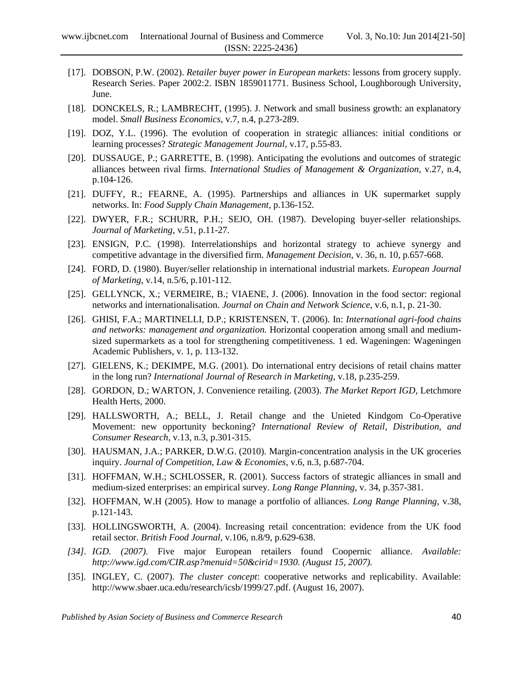- [17]. DOBSON, P.W. (2002). *Retailer buyer power in European markets*: lessons from grocery supply. Research Series. Paper 2002:2. ISBN 1859011771. Business School, Loughborough University, June.
- [18]. DONCKELS, R.; LAMBRECHT, (1995). J. Network and small business growth: an explanatory model. *Small Business Economics*, v.7, n.4, p.273-289.
- [19]. DOZ, Y.L. (1996). The evolution of cooperation in strategic alliances: initial conditions or learning processes? *Strategic Management Journal*, v.17, p.55-83.
- [20]. DUSSAUGE, P.; GARRETTE, B. (1998). Anticipating the evolutions and outcomes of strategic alliances between rival firms. *International Studies of Management & Organization*, v.27, n.4, p.104-126.
- [21]. DUFFY, R.; FEARNE, A. (1995). Partnerships and alliances in UK supermarket supply networks. In: *Food Supply Chain Management*, p.136-152.
- [22]. DWYER, F.R.; SCHURR, P.H.; SEJO, OH. (1987). Developing buyer-seller relationships. *Journal of Marketing*, v.51, p.11-27.
- [23]. ENSIGN, P.C. (1998). Interrelationships and horizontal strategy to achieve synergy and competitive advantage in the diversified firm. *Management Decision*, v. 36, n. 10, p.657-668.
- [24]. FORD, D. (1980). Buyer/seller relationship in international industrial markets. *European Journal of Marketing*, v.14, n.5/6, p.101-112.
- [25]. GELLYNCK, X.; VERMEIRE, B.; VIAENE, J. (2006). Innovation in the food sector: regional networks and internationalisation. *Journal on Chain and Network Science*, v.6, n.1, p. 21-30.
- [26]. GHISI, F.A.; MARTINELLI, D.P.; KRISTENSEN, T. (2006). In: *International agri-food chains and networks: management and organization.* Horizontal cooperation among small and mediumsized supermarkets as a tool for strengthening competitiveness. 1 ed. Wageningen: Wageningen Academic Publishers, v. 1, p. 113-132.
- [27]. GIELENS, K.; DEKIMPE, M.G. (2001). Do international entry decisions of retail chains matter in the long run? *International Journal of Research in Marketing*, v.18, p.235-259.
- [28]. GORDON, D.; WARTON, J. Convenience retailing. (2003). *The Market Report IGD*, Letchmore Health Herts, 2000.
- [29]. HALLSWORTH, A.; BELL, J. Retail change and the Unieted Kindgom Co-Operative Movement: new opportunity beckoning? *International Review of Retail, Distribution, and Consumer Research*, v.13, n.3, p.301-315.
- [30]. HAUSMAN, J.A.; PARKER, D.W.G. (2010). Margin-concentration analysis in the UK groceries inquiry. *Journal of Competition, Law & Economies*, v.6, n.3, p.687-704.
- [31]. HOFFMAN, W.H.; SCHLOSSER, R. (2001). Success factors of strategic alliances in small and medium-sized enterprises: an empirical survey. *Long Range Planning*, v. 34, p.357-381.
- [32]. HOFFMAN, W.H (2005). How to manage a portfolio of alliances. *Long Range Planning*, v.38, p.121-143.
- [33]. HOLLINGSWORTH, A. (2004). Increasing retail concentration: evidence from the UK food retail sector. *British Food Journal*, v.106, n.8/9, p.629-638.
- *[34]. IGD. (2007).* Five major European retailers found Coopernic alliance. *Available: http://www.igd.com/CIR.asp?menuid=50&cirid=1930. (August 15, 2007).*
- [35]. INGLEY, C. (2007). *The cluster concept*: cooperative networks and replicability. Available: http://www.sbaer.uca.edu/research/icsb/1999/27.pdf. (August 16, 2007).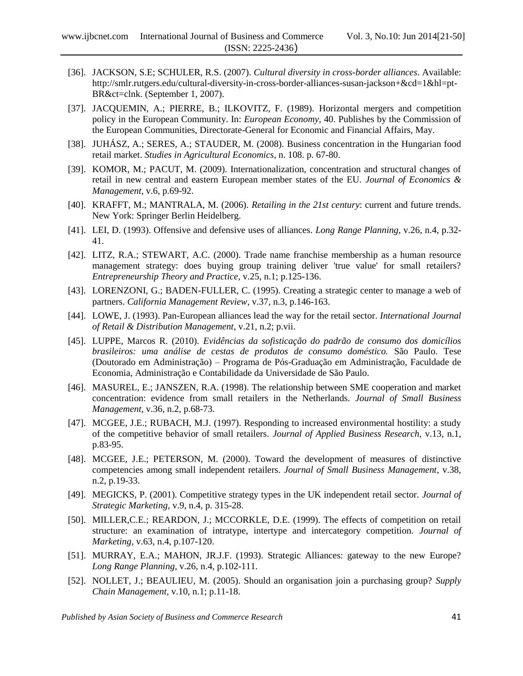- [36]. JACKSON, S.E; SCHULER, R.S. (2007). *Cultural diversity in cross-border alliances*. Available: http://smlr.rutgers.edu/cultural-diversity-in-cross-border-alliances-susan-jackson+&cd=1&hl=pt-BR&ct=clnk. (September 1, 2007).
- [37]. JACQUEMIN, A.; PIERRE, B.; ILKOVITZ, F. (1989). Horizontal mergers and competition policy in the European Community. In: *European Economy*, 40. Publishes by the Commission of the European Communities, Directorate-General for Economic and Financial Affairs, May.
- [38]. JUHÁSZ, A.; SERES, A.; STAUDER, M. (2008). Business concentration in the Hungarian food retail market. *Studies in Agricultural Economics*, n. 108. p. 67-80.
- [39]. KOMOR, M.; PACUT, M. (2009). Internationalization, concentration and structural changes of retail in new central and eastern European member states of the EU. *Journal of Economics & Management*, v.6, p.69-92.
- [40]. KRAFFT, M.; MANTRALA, M. (2006). *Retailing in the 21st century*: current and future trends. New York: Springer Berlin Heidelberg.
- [41]. LEI, D. (1993). Offensive and defensive uses of alliances. *Long Range Planning*, v.26, n.4, p.32- 41.
- [42]. LITZ, R.A.; STEWART, A.C. (2000). Trade name franchise membership as a human resource management strategy: does buying group training deliver 'true value' for small retailers? *Entrepreneurship Theory and Practice,* v.25, n.1; p.125-136.
- [43]. LORENZONI, G.; BADEN-FULLER, C. (1995). Creating a strategic center to manage a web of partners. *California Management Review*, v.37, n.3, p.146-163.
- [44]. LOWE, J. (1993). Pan-European alliances lead the way for the retail sector. *International Journal of Retail & Distribution Management,* v.21, n.2; p.vii.
- [45]. LUPPE, Marcos R. (2010). *Evidências da sofisticação do padrão de consumo dos domicílios brasileiros: uma análise de cestas de produtos de consumo doméstico.* São Paulo. Tese (Doutorado em Administração) – Programa de Pós-Graduação em Administração, Faculdade de Economia, Administração e Contabilidade da Universidade de São Paulo.
- [46]. MASUREL, E.; JANSZEN, R.A. (1998). The relationship between SME cooperation and market concentration: evidence from small retailers in the Netherlands. *Journal of Small Business Management*, v.36, n.2, p.68-73.
- [47]. MCGEE, J.E.; RUBACH, M.J. (1997). Responding to increased environmental hostility: a study of the competitive behavior of small retailers. *Journal of Applied Business Research,* v.13, n.1, p.83-95.
- [48]. MCGEE, J.E.; PETERSON, M. (2000). Toward the development of measures of distinctive competencies among small independent retailers. *Journal of Small Business Management*, v.38, n.2, p.19-33.
- [49]. MEGICKS, P. (2001). Competitive strategy types in the UK independent retail sector. *Journal of Strategic Marketing*, v.9, n.4, p. 315-28.
- [50]. MILLER,C.E.; REARDON, J.; MCCORKLE, D.E. (1999). The effects of competition on retail structure: an examination of intratype, intertype and intercategory competition. *Journal of Marketing*, v.63, n.4, p.107-120.
- [51]. MURRAY, E.A.; MAHON, JR.J.F. (1993). Strategic Alliances: gateway to the new Europe? *Long Range Planning*, v.26, n.4, p.102-111.
- [52]. NOLLET, J.; BEAULIEU, M. (2005). Should an organisation join a purchasing group? *Supply Chain Management,* v.10, n.1; p.11-18.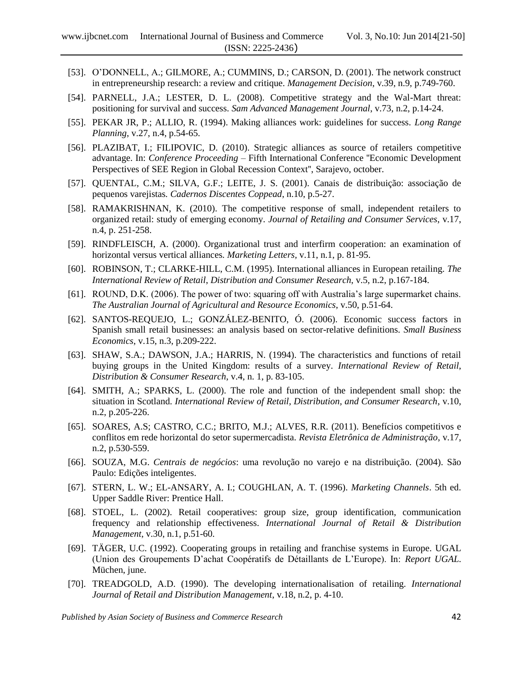- [53]. O'DONNELL, A.; GILMORE, A.; CUMMINS, D.; CARSON, D. (2001). The network construct in entrepreneurship research: a review and critique. *Management Decision*, v.39, n.9, p.749-760.
- [54]. PARNELL, J.A.; LESTER, D. L. (2008). Competitive strategy and the Wal-Mart threat: positioning for survival and success. *Sam Advanced Management Journal*, v.73, n.2, p.14-24.
- [55]. PEKAR JR, P.; ALLIO, R. (1994). Making alliances work: guidelines for success. *Long Range Planning*, v.27, n.4, p.54-65.
- [56]. PLAZIBAT, I.; FILIPOVIC, D. (2010). Strategic alliances as source of retailers competitive advantage. In: *Conference Proceeding* – Fifth International Conference ''Economic Development Perspectives of SEE Region in Global Recession Context'', Sarajevo, october.
- [57]. QUENTAL, C.M.; SILVA, G.F.; LEITE, J. S. (2001). Canais de distribuição: associação de pequenos varejistas*. Cadernos Discentes Coppead*, n.10, p.5-27.
- [58]. RAMAKRISHNAN, K. (2010). The competitive response of small, independent retailers to organized retail: study of emerging economy. *Journal of Retailing and Consumer Services*, v.17, n.4, p. 251-258.
- [59]. RINDFLEISCH, A. (2000). Organizational trust and interfirm cooperation: an examination of horizontal versus vertical alliances*. Marketing Letters,* v.11, n.1, p. 81-95.
- [60]. ROBINSON, T.; CLARKE-HILL, C.M. (1995). International alliances in European retailing. *The International Review of Retail*, *Distribution and Consumer Research*, v.5, n.2, p.167-184.
- [61]. ROUND, D.K. (2006). The power of two: squaring off with Australia's large supermarket chains. *The Australian Journal of Agricultural and Resource Economics*, v.50, p.51-64.
- [62]. SANTOS-REQUEJO, L.; GONZÁLEZ-BENITO, Ó. (2006). Economic success factors in Spanish small retail businesses: an analysis based on sector-relative definitions. *Small Business Economics*, v.15, n.3, p.209-222.
- [63]. SHAW, S.A.; DAWSON, J.A.; HARRIS, N. (1994). The characteristics and functions of retail buying groups in the United Kingdom: results of a survey. *International Review of Retail*, *Distribution & Consumer Research*, v.4, n. 1, p. 83-105.
- [64]. SMITH, A.; SPARKS, L. (2000). The role and function of the independent small shop: the situation in Scotland. *International Review of Retail, Distribution, and Consumer Research*, v.10, n.2, p.205-226.
- [65]. SOARES, A.S; CASTRO, C.C.; BRITO, M.J.; ALVES, R.R. (2011). Benefícios competitivos e conflitos em rede horizontal do setor supermercadista. *Revista Eletrônica de Administração*, v.17, n.2, p.530-559.
- [66]. SOUZA, M.G. *Centrais de negócios*: uma revolução no varejo e na distribuição. (2004). São Paulo: Edições inteligentes.
- [67]. STERN, L. W.; EL-ANSARY, A. I.; COUGHLAN, A. T. (1996). *Marketing Channels*. 5th ed. Upper Saddle River: Prentice Hall.
- [68]. STOEL, L. (2002). Retail cooperatives: group size, group identification, communication frequency and relationship effectiveness. *International Journal of Retail & Distribution Management*, v.30, n.1, p.51-60.
- [69]. TÄGER, U.C. (1992). Cooperating groups in retailing and franchise systems in Europe. UGAL (Union des Groupements D"achat Coopératifs de Détaillants de L"Europe). In: *Report UGAL*. Müchen, june.
- [70]. TREADGOLD, A.D. (1990). The developing internationalisation of retailing. *International Journal of Retail and Distribution Management*, v.18, n.2, p. 4-10.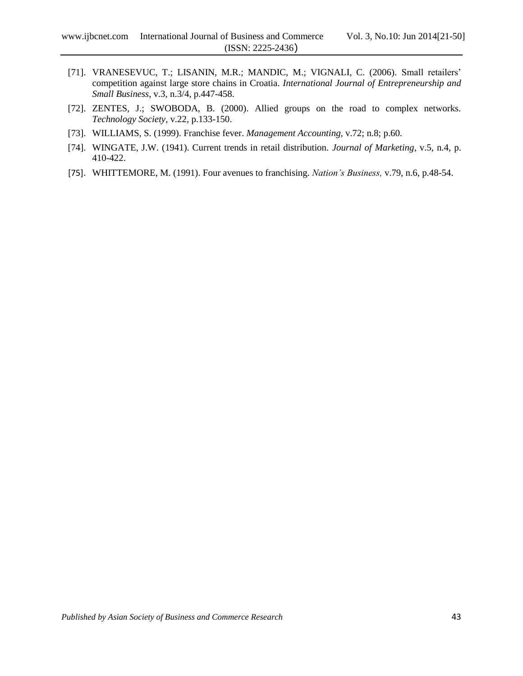- [71]. VRANESEVUC, T.; LISANIN, M.R.; MANDIC, M.; VIGNALI, C. (2006). Small retailers' competition against large store chains in Croatia. *International Journal of Entrepreneurship and Small Business*, v.3, n.3/4, p.447-458.
- [72]. ZENTES, J.; SWOBODA, B. (2000). Allied groups on the road to complex networks. *Technology Society*, v.22, p.133-150.
- [73]. WILLIAMS, S. (1999). Franchise fever. *Management Accounting*, v.72; n.8; p.60.
- [74]. WINGATE, J.W. (1941). Current trends in retail distribution. *Journal of Marketing*, v.5, n.4, p. 410-422.
- [75]. WHITTEMORE, M. (1991). Four avenues to franchising. *Nation's Business,* v.79, n.6, p.48-54.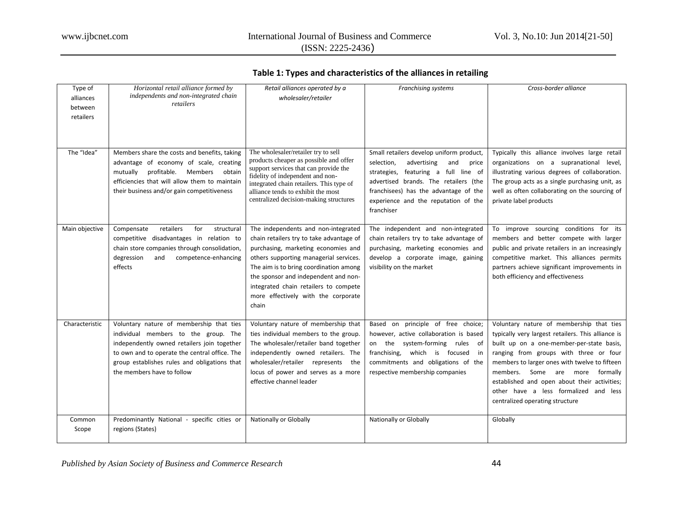# **Table 1: Types and characteristics of the alliances in retailing**

| Type of        | Horizontal retail alliance formed by          | Retail alliances operated by a                                               | <b>Franchising systems</b>                | Cross-border alliance                              |
|----------------|-----------------------------------------------|------------------------------------------------------------------------------|-------------------------------------------|----------------------------------------------------|
| alliances      | independents and non-integrated chain         | wholesaler/retailer                                                          |                                           |                                                    |
| between        | retailers                                     |                                                                              |                                           |                                                    |
| retailers      |                                               |                                                                              |                                           |                                                    |
|                |                                               |                                                                              |                                           |                                                    |
|                |                                               |                                                                              |                                           |                                                    |
|                |                                               |                                                                              |                                           |                                                    |
| The "Idea"     | Members share the costs and benefits, taking  | The wholesaler/retailer try to sell                                          | Small retailers develop uniform product,  | Typically this alliance involves large retail      |
|                | advantage of economy of scale, creating       | products cheaper as possible and offer                                       | selection,<br>advertising<br>and<br>price | organizations on a supranational level,            |
|                | mutually profitable. Members obtain           | support services that can provide the                                        | strategies,<br>featuring a full line of   | illustrating various degrees of collaboration.     |
|                | efficiencies that will allow them to maintain | fidelity of independent and non-<br>integrated chain retailers. This type of | advertised brands. The retailers (the     | The group acts as a single purchasing unit, as     |
|                | their business and/or gain competitiveness    | alliance tends to exhibit the most                                           | franchisees) has the advantage of the     | well as often collaborating on the sourcing of     |
|                |                                               | centralized decision-making structures                                       | experience and the reputation of the      | private label products                             |
|                |                                               |                                                                              | franchiser                                |                                                    |
|                |                                               |                                                                              |                                           |                                                    |
| Main objective | retailers<br>for<br>Compensate<br>structural  | The independents and non-integrated                                          | The independent and non-integrated        | To improve sourcing conditions for its             |
|                | competitive disadvantages in relation to      | chain retailers try to take advantage of                                     | chain retailers try to take advantage of  | members and better compete with larger             |
|                | chain store companies through consolidation,  | purchasing, marketing economies and                                          | purchasing, marketing economies and       | public and private retailers in an increasingly    |
|                | degression<br>and<br>competence-enhancing     | others supporting managerial services.                                       | develop a corporate image, gaining        | competitive market. This alliances permits         |
|                | effects                                       | The aim is to bring coordination among                                       | visibility on the market                  | partners achieve significant improvements in       |
|                |                                               | the sponsor and independent and non-                                         |                                           | both efficiency and effectiveness                  |
|                |                                               | integrated chain retailers to compete                                        |                                           |                                                    |
|                |                                               | more effectively with the corporate                                          |                                           |                                                    |
|                |                                               | chain                                                                        |                                           |                                                    |
|                |                                               |                                                                              |                                           |                                                    |
| Characteristic | Voluntary nature of membership that ties      | Voluntary nature of membership that                                          | Based on principle of free choice;        | Voluntary nature of membership that ties           |
|                | individual members to the group. The          | ties individual members to the group.                                        | however, active collaboration is based    | typically very largest retailers. This alliance is |
|                | independently owned retailers join together   | The wholesaler/retailer band together                                        | on the system-forming<br>rules<br>- of    | built up on a one-member-per-state basis,          |
|                | to own and to operate the central office. The | independently owned retailers. The                                           | franchising,<br>which is focused<br>in    | ranging from groups with three or four             |
|                | group establishes rules and obligations that  | wholesaler/retailer represents<br>the                                        | commitments and obligations of the        | members to larger ones with twelve to fifteen      |
|                | the members have to follow                    | locus of power and serves as a more                                          | respective membership companies           | members. Some are more<br>formally                 |
|                |                                               | effective channel leader                                                     |                                           | established and open about their activities;       |
|                |                                               |                                                                              |                                           | other have a less formalized and less              |
|                |                                               |                                                                              |                                           | centralized operating structure                    |
|                |                                               |                                                                              |                                           |                                                    |
| Common         | Predominantly National - specific cities or   | Nationally or Globally                                                       | Nationally or Globally                    | Globally                                           |
| Scope          | regions (States)                              |                                                                              |                                           |                                                    |
|                |                                               |                                                                              |                                           |                                                    |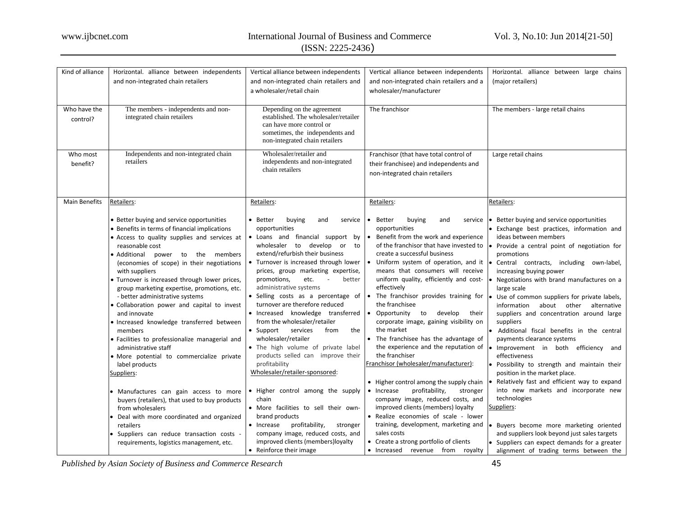|  | $(ISSN: 2225-2436)$ |
|--|---------------------|
|--|---------------------|

| Kind of alliance         | Horizontal. alliance between independents                                                                                                                                                                                                                                                                                                                                                                                                                                                                                                                                                                                                                                                                                                                                                                                                                                                                                                                | Vertical alliance between independents                                                                                                                                                                                                                                                                                                                                                                                                                                                                                                                                                                                                                                                                                                                                                                                                                                                                 | Vertical alliance between independents                                                                                                                                                                                                                                                                                                                                                                                                                                                                                                                                                                                                                                                                                                                                                                                                                                                                                            | Horizontal. alliance between large chains                                                                                                                                                                                                                                                                                                                                                                                                                                                                                                                                                                                                                                                                                                                                                                                                                                                                                                                  |
|--------------------------|----------------------------------------------------------------------------------------------------------------------------------------------------------------------------------------------------------------------------------------------------------------------------------------------------------------------------------------------------------------------------------------------------------------------------------------------------------------------------------------------------------------------------------------------------------------------------------------------------------------------------------------------------------------------------------------------------------------------------------------------------------------------------------------------------------------------------------------------------------------------------------------------------------------------------------------------------------|--------------------------------------------------------------------------------------------------------------------------------------------------------------------------------------------------------------------------------------------------------------------------------------------------------------------------------------------------------------------------------------------------------------------------------------------------------------------------------------------------------------------------------------------------------------------------------------------------------------------------------------------------------------------------------------------------------------------------------------------------------------------------------------------------------------------------------------------------------------------------------------------------------|-----------------------------------------------------------------------------------------------------------------------------------------------------------------------------------------------------------------------------------------------------------------------------------------------------------------------------------------------------------------------------------------------------------------------------------------------------------------------------------------------------------------------------------------------------------------------------------------------------------------------------------------------------------------------------------------------------------------------------------------------------------------------------------------------------------------------------------------------------------------------------------------------------------------------------------|------------------------------------------------------------------------------------------------------------------------------------------------------------------------------------------------------------------------------------------------------------------------------------------------------------------------------------------------------------------------------------------------------------------------------------------------------------------------------------------------------------------------------------------------------------------------------------------------------------------------------------------------------------------------------------------------------------------------------------------------------------------------------------------------------------------------------------------------------------------------------------------------------------------------------------------------------------|
|                          | and non-integrated chain retailers                                                                                                                                                                                                                                                                                                                                                                                                                                                                                                                                                                                                                                                                                                                                                                                                                                                                                                                       | and non-integrated chain retailers and                                                                                                                                                                                                                                                                                                                                                                                                                                                                                                                                                                                                                                                                                                                                                                                                                                                                 | and non-integrated chain retailers and a                                                                                                                                                                                                                                                                                                                                                                                                                                                                                                                                                                                                                                                                                                                                                                                                                                                                                          | (major retailers)                                                                                                                                                                                                                                                                                                                                                                                                                                                                                                                                                                                                                                                                                                                                                                                                                                                                                                                                          |
|                          |                                                                                                                                                                                                                                                                                                                                                                                                                                                                                                                                                                                                                                                                                                                                                                                                                                                                                                                                                          | a wholesaler/retail chain                                                                                                                                                                                                                                                                                                                                                                                                                                                                                                                                                                                                                                                                                                                                                                                                                                                                              | wholesaler/manufacturer                                                                                                                                                                                                                                                                                                                                                                                                                                                                                                                                                                                                                                                                                                                                                                                                                                                                                                           |                                                                                                                                                                                                                                                                                                                                                                                                                                                                                                                                                                                                                                                                                                                                                                                                                                                                                                                                                            |
| Who have the<br>control? | The members - independents and non-<br>integrated chain retailers                                                                                                                                                                                                                                                                                                                                                                                                                                                                                                                                                                                                                                                                                                                                                                                                                                                                                        | Depending on the agreement<br>established. The wholesaler/retailer<br>can have more control or<br>sometimes, the independents and<br>non-integrated chain retailers                                                                                                                                                                                                                                                                                                                                                                                                                                                                                                                                                                                                                                                                                                                                    | The franchisor                                                                                                                                                                                                                                                                                                                                                                                                                                                                                                                                                                                                                                                                                                                                                                                                                                                                                                                    | The members - large retail chains                                                                                                                                                                                                                                                                                                                                                                                                                                                                                                                                                                                                                                                                                                                                                                                                                                                                                                                          |
| Who most<br>benefit?     | Independents and non-integrated chain<br>retailers                                                                                                                                                                                                                                                                                                                                                                                                                                                                                                                                                                                                                                                                                                                                                                                                                                                                                                       | Wholesaler/retailer and<br>independents and non-integrated<br>chain retailers                                                                                                                                                                                                                                                                                                                                                                                                                                                                                                                                                                                                                                                                                                                                                                                                                          | Franchisor (that have total control of<br>their franchisee) and independents and<br>non-integrated chain retailers                                                                                                                                                                                                                                                                                                                                                                                                                                                                                                                                                                                                                                                                                                                                                                                                                | Large retail chains                                                                                                                                                                                                                                                                                                                                                                                                                                                                                                                                                                                                                                                                                                                                                                                                                                                                                                                                        |
| <b>Main Benefits</b>     | Retailers:                                                                                                                                                                                                                                                                                                                                                                                                                                                                                                                                                                                                                                                                                                                                                                                                                                                                                                                                               | Retailers:                                                                                                                                                                                                                                                                                                                                                                                                                                                                                                                                                                                                                                                                                                                                                                                                                                                                                             | Retailers:                                                                                                                                                                                                                                                                                                                                                                                                                                                                                                                                                                                                                                                                                                                                                                                                                                                                                                                        | Retailers:                                                                                                                                                                                                                                                                                                                                                                                                                                                                                                                                                                                                                                                                                                                                                                                                                                                                                                                                                 |
|                          | • Better buying and service opportunities<br>• Benefits in terms of financial implications<br>• Access to quality supplies and services at<br>reasonable cost<br>• Additional<br>power to the members<br>(economies of scope) in their negotiations<br>with suppliers<br>• Turnover is increased through lower prices,<br>group marketing expertise, promotions, etc.<br>- better administrative systems<br>• Collaboration power and capital to invest<br>and innovate<br>· Increased knowledge transferred between<br>members<br>· Facilities to professionalize managerial and<br>administrative staff<br>· More potential to commercialize private<br>label products<br>Suppliers:<br>• Manufactures can gain access to more<br>buyers (retailers), that used to buy products<br>from wholesalers<br>Deal with more coordinated and organized<br>retailers<br>· Suppliers can reduce transaction costs -<br>requirements, logistics management, etc. | • Better<br>buying<br>and<br>service<br>opportunities<br>• Loans and financial support by<br>wholesaler to develop<br>or<br>to<br>extend/refurbish their business<br>• Turnover is increased through lower<br>prices, group marketing expertise,<br>better<br>promotions,<br>etc.<br>$\sim$<br>administrative systems<br>· Selling costs as a percentage of<br>turnover are therefore reduced<br>• Increased knowledge transferred<br>from the wholesaler/retailer<br>• Support<br>services<br>the<br>from<br>wholesaler/retailer<br>. The high volume of private label<br>products selled can improve their<br>profitability<br>Wholesaler/retailer-sponsored:<br>• Higher control among the supply<br>chain<br>. More facilities to sell their own-<br>brand products<br>$\bullet$ Increase<br>profitability,<br>stronger<br>company image, reduced costs, and<br>improved clients (members) loyalty | • Better<br>buying<br>and<br>service<br>opportunities<br>• Benefit from the work and experience<br>of the franchisor that have invested to<br>create a successful business<br>• Uniform system of operation, and it<br>means that consumers will receive<br>uniform quality, efficiently and cost-<br>effectively<br>• The franchisor provides training for<br>the franchisee<br>• Opportunity to develop<br>their<br>corporate image, gaining visibility on<br>the market<br>• The franchisee has the advantage of<br>the experience and the reputation of<br>the franchiser<br>Franchisor (wholesaler/manufacturer):<br>• Higher control among the supply chain<br>profitability,<br>• Increase<br>stronger<br>company image, reduced costs, and<br>improved clients (members) loyalty<br>• Realize economies of scale - lower<br>training, development, marketing and<br>sales costs<br>• Create a strong portfolio of clients | Better buying and service opportunities<br>$\bullet$<br>Exchange best practices, information and<br>ideas between members<br>Provide a central point of negotiation for<br>promotions<br>Central contracts, including own-label,<br>increasing buying power<br>Negotiations with brand manufactures on a<br>large scale<br>Use of common suppliers for private labels,<br>information<br>about other alternative<br>suppliers and concentration around large<br>suppliers<br>Additional fiscal benefits in the central<br>payments clearance systems<br>Improvement in both efficiency and<br>effectiveness<br>· Possibility to strength and maintain their<br>position in the market place.<br>Relatively fast and efficient way to expand<br>into new markets and incorporate new<br>technologies<br>Suppliers:<br>Buyers become more marketing oriented<br>and suppliers look beyond just sales targets<br>• Suppliers can expect demands for a greater |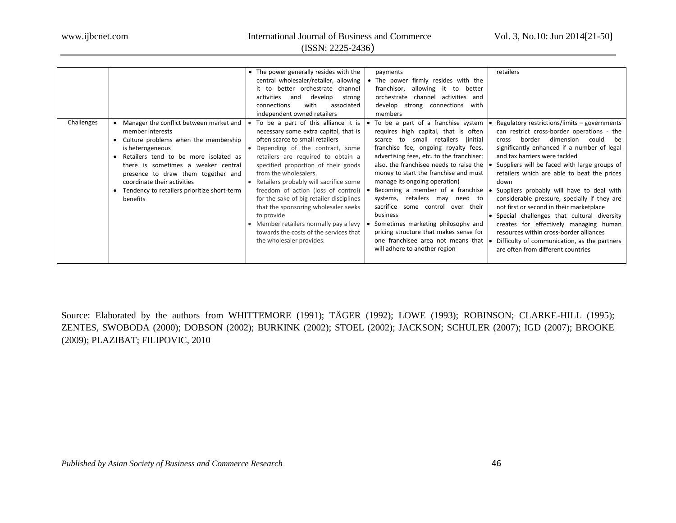(ISSN: 2225-2436)

|            |                                                                                                                                                                                                                                                                                                                                              | • The power generally resides with the<br>payments<br>central wholesaler/retailer, allowing<br>• The power firmly resides with the<br>better orchestrate channel<br>allowing it to<br>franchisor,<br>better<br>it to<br>channel activities<br>activities<br>develop<br>orchestrate<br>and<br>strong<br>and<br>connections<br>with<br>develop strong connections with<br>associated<br>independent owned retailers<br>members                                                                                                                                                                                                                                                                                                                                                                                                                                                                                                                                                                                                                                                                                                                                                                 | retailers                                                                                                                                                                                                                                                                                                                                                                                                                                                                                                                                                                                                                                                                                       |
|------------|----------------------------------------------------------------------------------------------------------------------------------------------------------------------------------------------------------------------------------------------------------------------------------------------------------------------------------------------|----------------------------------------------------------------------------------------------------------------------------------------------------------------------------------------------------------------------------------------------------------------------------------------------------------------------------------------------------------------------------------------------------------------------------------------------------------------------------------------------------------------------------------------------------------------------------------------------------------------------------------------------------------------------------------------------------------------------------------------------------------------------------------------------------------------------------------------------------------------------------------------------------------------------------------------------------------------------------------------------------------------------------------------------------------------------------------------------------------------------------------------------------------------------------------------------|-------------------------------------------------------------------------------------------------------------------------------------------------------------------------------------------------------------------------------------------------------------------------------------------------------------------------------------------------------------------------------------------------------------------------------------------------------------------------------------------------------------------------------------------------------------------------------------------------------------------------------------------------------------------------------------------------|
| Challenges | Manager the conflict between market and<br>member interests<br>Culture problems when the membership<br>is heterogeneous<br>Retailers tend to be more isolated as<br>there is sometimes a weaker central<br>presence to draw them together and<br>coordinate their activities<br>Tendency to retailers prioritize short-term<br>٠<br>benefits | To be a part of a franchise system<br>To be a part of this alliance it is $\bullet$<br>necessary some extra capital, that is<br>requires high capital, that is often<br>often scarce to small retailers<br>small retailers<br>(initial<br>scarce<br>to<br>franchise fee, ongoing royalty fees,<br>Depending of the contract, some<br>advertising fees, etc. to the franchiser;<br>retailers are required to obtain a<br>also, the franchisee needs to raise the<br>specified proportion of their goods<br>money to start the franchise and must<br>from the wholesalers.<br>manage its ongoing operation)<br>• Retailers probably will sacrifice some<br>Becoming a member of a franchise<br>freedom of action (loss of control)<br>systems, retailers may need to<br>for the sake of big retailer disciplines<br>sacrifice some control over their<br>that the sponsoring wholesaler seeks<br>business<br>to provide<br>Sometimes marketing philosophy and<br>• Member retailers normally pay a levy<br>pricing structure that makes sense for<br>towards the costs of the services that<br>one franchisee area not means that<br>the wholesaler provides.<br>will adhere to another region | Regulatory restrictions/limits - governments<br>can restrict cross-border operations - the<br>dimension<br>border<br>could be<br>cross<br>significantly enhanced if a number of legal<br>and tax barriers were tackled<br>Suppliers will be faced with large groups of<br>retailers which are able to beat the prices<br>down<br>Suppliers probably will have to deal with<br>considerable pressure, specially if they are<br>not first or second in their marketplace<br>Special challenges that cultural diversity<br>creates for effectively managing human<br>resources within cross-border alliances<br>Difficulty of communication, as the partners<br>are often from different countries |

Source: Elaborated by the authors from WHITTEMORE (1991); TÄGER (1992); LOWE (1993); ROBINSON; CLARKE-HILL (1995); ZENTES, SWOBODA (2000); DOBSON (2002); BURKINK (2002); STOEL (2002); JACKSON; SCHULER (2007); IGD (2007); BROOKE (2009); PLAZIBAT; FILIPOVIC, 2010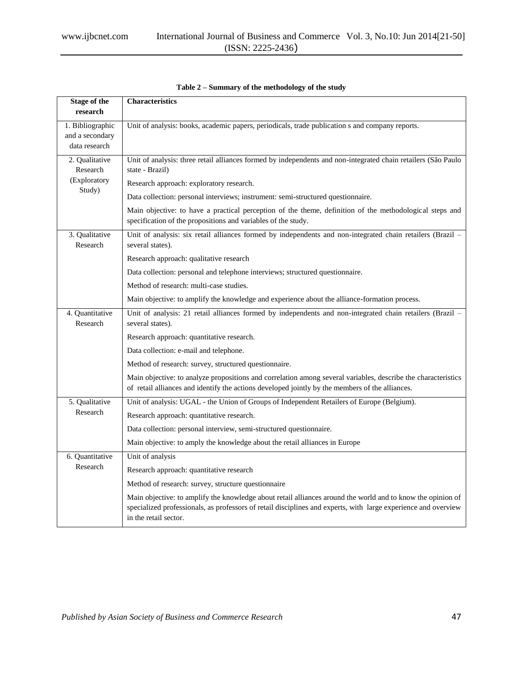| <b>Stage of the</b><br>research                      | <b>Characteristics</b>                                                                                                                                                                                                                                 |  |  |
|------------------------------------------------------|--------------------------------------------------------------------------------------------------------------------------------------------------------------------------------------------------------------------------------------------------------|--|--|
| 1. Bibliographic<br>and a secondary<br>data research | Unit of analysis: books, academic papers, periodicals, trade publication s and company reports.                                                                                                                                                        |  |  |
| 2. Qualitative<br>Research                           | Unit of analysis: three retail alliances formed by independents and non-integrated chain retailers (São Paulo<br>state - Brazil)                                                                                                                       |  |  |
| (Exploratory<br>Study)                               | Research approach: exploratory research.                                                                                                                                                                                                               |  |  |
|                                                      | Data collection: personal interviews; instrument: semi-structured questionnaire.                                                                                                                                                                       |  |  |
|                                                      | Main objective: to have a practical perception of the theme, definition of the methodological steps and<br>specification of the propositions and variables of the study.                                                                               |  |  |
| 3. Qualitative<br>Research                           | Unit of analysis: six retail alliances formed by independents and non-integrated chain retailers (Brazil -<br>several states).                                                                                                                         |  |  |
|                                                      | Research approach: qualitative research                                                                                                                                                                                                                |  |  |
|                                                      | Data collection: personal and telephone interviews; structured questionnaire.                                                                                                                                                                          |  |  |
|                                                      | Method of research: multi-case studies.                                                                                                                                                                                                                |  |  |
|                                                      | Main objective: to amplify the knowledge and experience about the alliance-formation process.                                                                                                                                                          |  |  |
| 4. Quantitative<br>Research                          | Unit of analysis: 21 retail alliances formed by independents and non-integrated chain retailers (Brazil -<br>several states).                                                                                                                          |  |  |
|                                                      | Research approach: quantitative research.                                                                                                                                                                                                              |  |  |
|                                                      | Data collection: e-mail and telephone.                                                                                                                                                                                                                 |  |  |
|                                                      | Method of research: survey, structured questionnaire.                                                                                                                                                                                                  |  |  |
|                                                      | Main objective: to analyze propositions and correlation among several variables, describe the characteristics<br>of retail alliances and identify the actions developed jointly by the members of the alliances.                                       |  |  |
| 5. Qualitative                                       | Unit of analysis: UGAL - the Union of Groups of Independent Retailers of Europe (Belgium).                                                                                                                                                             |  |  |
| Research                                             | Research approach: quantitative research.                                                                                                                                                                                                              |  |  |
|                                                      | Data collection: personal interview, semi-structured questionnaire.                                                                                                                                                                                    |  |  |
|                                                      | Main objective: to amply the knowledge about the retail alliances in Europe                                                                                                                                                                            |  |  |
| 6. Quantitative                                      | Unit of analysis                                                                                                                                                                                                                                       |  |  |
| Research                                             | Research approach: quantitative research                                                                                                                                                                                                               |  |  |
|                                                      | Method of research: survey, structure questionnaire                                                                                                                                                                                                    |  |  |
|                                                      | Main objective: to amplify the knowledge about retail alliances around the world and to know the opinion of<br>specialized professionals, as professors of retail disciplines and experts, with large experience and overview<br>in the retail sector. |  |  |

**Table 2 – Summary of the methodology of the study**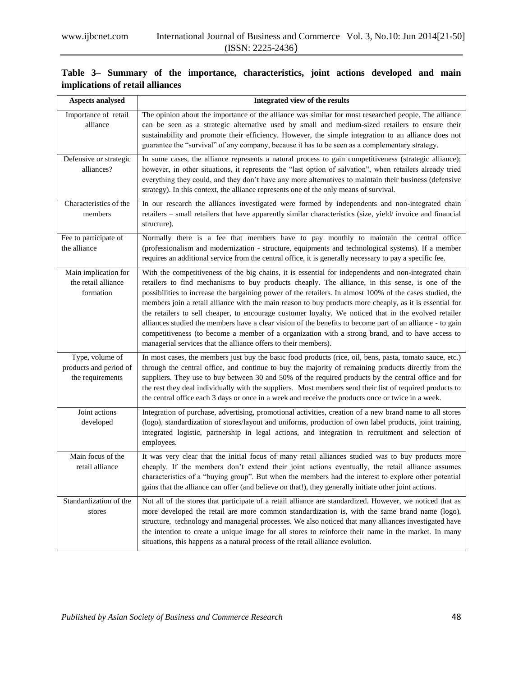| Aspects analysed                                              | Integrated view of the results                                                                                                                                                                                                                                                                                                                                                                                                                                                                                                                                                                                                                                                                                                                                                                                                  |
|---------------------------------------------------------------|---------------------------------------------------------------------------------------------------------------------------------------------------------------------------------------------------------------------------------------------------------------------------------------------------------------------------------------------------------------------------------------------------------------------------------------------------------------------------------------------------------------------------------------------------------------------------------------------------------------------------------------------------------------------------------------------------------------------------------------------------------------------------------------------------------------------------------|
| Importance of retail<br>alliance                              | The opinion about the importance of the alliance was similar for most researched people. The alliance<br>can be seen as a strategic alternative used by small and medium-sized retailers to ensure their<br>sustainability and promote their efficiency. However, the simple integration to an alliance does not<br>guarantee the "survival" of any company, because it has to be seen as a complementary strategy.                                                                                                                                                                                                                                                                                                                                                                                                             |
| Defensive or strategic<br>alliances?                          | In some cases, the alliance represents a natural process to gain competitiveness (strategic alliance);<br>however, in other situations, it represents the "last option of salvation", when retailers already tried<br>everything they could, and they don't have any more alternatives to maintain their business (defensive<br>strategy). In this context, the alliance represents one of the only means of survival.                                                                                                                                                                                                                                                                                                                                                                                                          |
| Characteristics of the<br>members                             | In our research the alliances investigated were formed by independents and non-integrated chain<br>retailers - small retailers that have apparently similar characteristics (size, yield/ invoice and financial<br>structure).                                                                                                                                                                                                                                                                                                                                                                                                                                                                                                                                                                                                  |
| Fee to participate of<br>the alliance                         | Normally there is a fee that members have to pay monthly to maintain the central office<br>(professionalism and modernization - structure, equipments and technological systems). If a member<br>requires an additional service from the central office, it is generally necessary to pay a specific fee.                                                                                                                                                                                                                                                                                                                                                                                                                                                                                                                       |
| Main implication for<br>the retail alliance<br>formation      | With the competitiveness of the big chains, it is essential for independents and non-integrated chain<br>retailers to find mechanisms to buy products cheaply. The alliance, in this sense, is one of the<br>possibilities to increase the bargaining power of the retailers. In almost 100% of the cases studied, the<br>members join a retail alliance with the main reason to buy products more cheaply, as it is essential for<br>the retailers to sell cheaper, to encourage customer loyalty. We noticed that in the evolved retailer<br>alliances studied the members have a clear vision of the benefits to become part of an alliance - to gain<br>competitiveness (to become a member of a organization with a strong brand, and to have access to<br>managerial services that the alliance offers to their members). |
| Type, volume of<br>products and period of<br>the requirements | In most cases, the members just buy the basic food products (rice, oil, bens, pasta, tomato sauce, etc.)<br>through the central office, and continue to buy the majority of remaining products directly from the<br>suppliers. They use to buy between 30 and 50% of the required products by the central office and for<br>the rest they deal individually with the suppliers. Most members send their list of required products to<br>the central office each 3 days or once in a week and receive the products once or twice in a week.                                                                                                                                                                                                                                                                                      |
| Joint actions<br>developed                                    | Integration of purchase, advertising, promotional activities, creation of a new brand name to all stores<br>(logo), standardization of stores/layout and uniforms, production of own label products, joint training,<br>integrated logistic, partnership in legal actions, and integration in recruitment and selection of<br>employees.                                                                                                                                                                                                                                                                                                                                                                                                                                                                                        |
| Main focus of the<br>retail alliance                          | It was very clear that the initial focus of many retail alliances studied was to buy products more<br>cheaply. If the members don't extend their joint actions eventually, the retail alliance assumes<br>characteristics of a "buying group". But when the members had the interest to explore other potential<br>gains that the alliance can offer (and believe on that!), they generally initiate other joint actions.                                                                                                                                                                                                                                                                                                                                                                                                       |
| Standardization of the<br>stores                              | Not all of the stores that participate of a retail alliance are standardized. However, we noticed that as<br>more developed the retail are more common standardization is, with the same brand name (logo),<br>structure, technology and managerial processes. We also noticed that many alliances investigated have<br>the intention to create a unique image for all stores to reinforce their name in the market. In many<br>situations, this happens as a natural process of the retail alliance evolution.                                                                                                                                                                                                                                                                                                                 |

# **Table 3– Summary of the importance, characteristics, joint actions developed and main implications of retail alliances**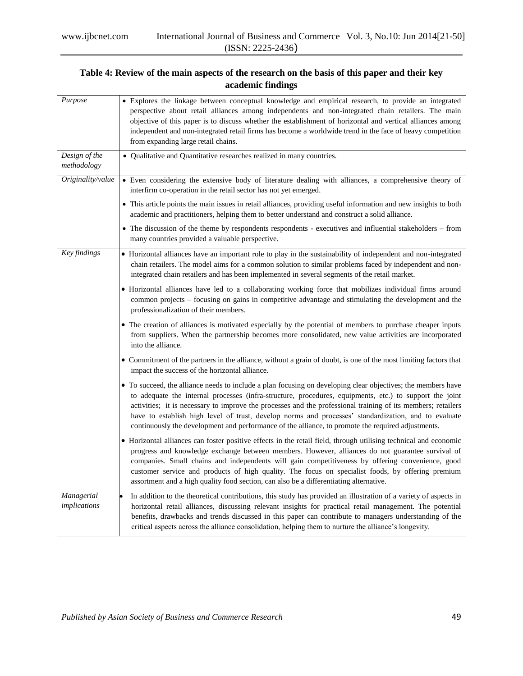# **Table 4: Review of the main aspects of the research on the basis of this paper and their key academic findings**

| Purpose                      | • Explores the linkage between conceptual knowledge and empirical research, to provide an integrated<br>perspective about retail alliances among independents and non-integrated chain retailers. The main<br>objective of this paper is to discuss whether the establishment of horizontal and vertical alliances among<br>independent and non-integrated retail firms has become a worldwide trend in the face of heavy competition<br>from expanding large retail chains.                                                                          |  |  |
|------------------------------|-------------------------------------------------------------------------------------------------------------------------------------------------------------------------------------------------------------------------------------------------------------------------------------------------------------------------------------------------------------------------------------------------------------------------------------------------------------------------------------------------------------------------------------------------------|--|--|
| Design of the<br>methodology | • Qualitative and Quantitative researches realized in many countries.                                                                                                                                                                                                                                                                                                                                                                                                                                                                                 |  |  |
| Originality/value            | • Even considering the extensive body of literature dealing with alliances, a comprehensive theory of<br>interfirm co-operation in the retail sector has not yet emerged.                                                                                                                                                                                                                                                                                                                                                                             |  |  |
|                              | • This article points the main issues in retail alliances, providing useful information and new insights to both<br>academic and practitioners, helping them to better understand and construct a solid alliance.                                                                                                                                                                                                                                                                                                                                     |  |  |
|                              | • The discussion of the theme by respondents respondents - executives and influential stakeholders – from<br>many countries provided a valuable perspective.                                                                                                                                                                                                                                                                                                                                                                                          |  |  |
| Key findings                 | • Horizontal alliances have an important role to play in the sustainability of independent and non-integrated<br>chain retailers. The model aims for a common solution to similar problems faced by independent and non-<br>integrated chain retailers and has been implemented in several segments of the retail market.                                                                                                                                                                                                                             |  |  |
|                              | • Horizontal alliances have led to a collaborating working force that mobilizes individual firms around<br>common projects - focusing on gains in competitive advantage and stimulating the development and the<br>professionalization of their members.                                                                                                                                                                                                                                                                                              |  |  |
|                              | • The creation of alliances is motivated especially by the potential of members to purchase cheaper inputs<br>from suppliers. When the partnership becomes more consolidated, new value activities are incorporated<br>into the alliance.                                                                                                                                                                                                                                                                                                             |  |  |
|                              | • Commitment of the partners in the alliance, without a grain of doubt, is one of the most limiting factors that<br>impact the success of the horizontal alliance.                                                                                                                                                                                                                                                                                                                                                                                    |  |  |
|                              | • To succeed, the alliance needs to include a plan focusing on developing clear objectives; the members have<br>to adequate the internal processes (infra-structure, procedures, equipments, etc.) to support the joint<br>activities; it is necessary to improve the processes and the professional training of its members; retailers<br>have to establish high level of trust, develop norms and processes' standardization, and to evaluate<br>continuously the development and performance of the alliance, to promote the required adjustments. |  |  |
|                              | • Horizontal alliances can foster positive effects in the retail field, through utilising technical and economic<br>progress and knowledge exchange between members. However, alliances do not guarantee survival of<br>companies. Small chains and independents will gain competitiveness by offering convenience, good<br>customer service and products of high quality. The focus on specialist foods, by offering premium<br>assortment and a high quality food section, can also be a differentiating alternative.                               |  |  |
| Managerial<br>implications   | In addition to the theoretical contributions, this study has provided an illustration of a variety of aspects in<br>horizontal retail alliances, discussing relevant insights for practical retail management. The potential<br>benefits, drawbacks and trends discussed in this paper can contribute to managers understanding of the<br>critical aspects across the alliance consolidation, helping them to nurture the alliance's longevity.                                                                                                       |  |  |